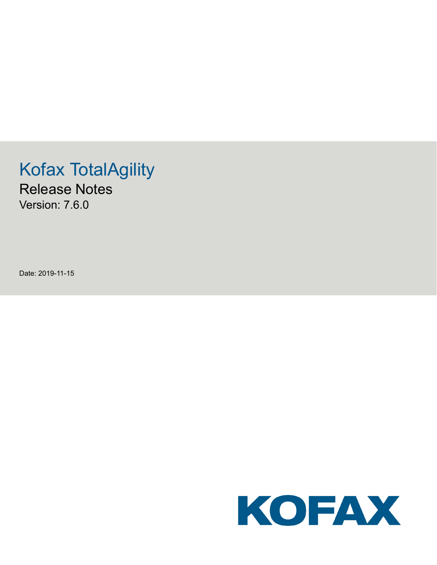# Kofax TotalAgility

Release Notes Version: 7.6.0

Date: 2019-11-15

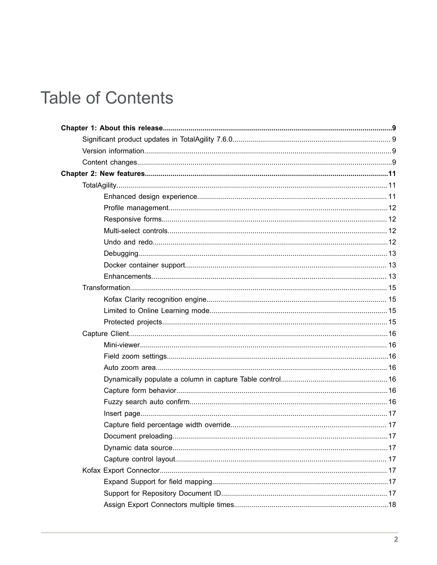# **Table of Contents**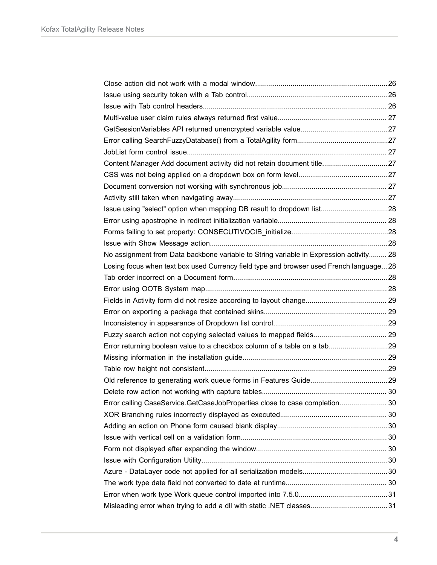| Content Manager Add document activity did not retain document title27                   |  |
|-----------------------------------------------------------------------------------------|--|
|                                                                                         |  |
|                                                                                         |  |
|                                                                                         |  |
| Issue using "select" option when mapping DB result to dropdown list28                   |  |
|                                                                                         |  |
|                                                                                         |  |
|                                                                                         |  |
| No assignment from Data backbone variable to String variable in Expression activity 28  |  |
| Losing focus when text box used Currency field type and browser used French language 28 |  |
|                                                                                         |  |
|                                                                                         |  |
|                                                                                         |  |
|                                                                                         |  |
|                                                                                         |  |
| Fuzzy search action not copying selected values to mapped fields 29                     |  |
| Error returning boolean value to a checkbox column of a table on a tab29                |  |
|                                                                                         |  |
|                                                                                         |  |
|                                                                                         |  |
|                                                                                         |  |
| Error calling CaseService.GetCaseJobProperties close to case completion 30              |  |
|                                                                                         |  |
|                                                                                         |  |
|                                                                                         |  |
|                                                                                         |  |
|                                                                                         |  |
|                                                                                         |  |
|                                                                                         |  |
|                                                                                         |  |
|                                                                                         |  |
|                                                                                         |  |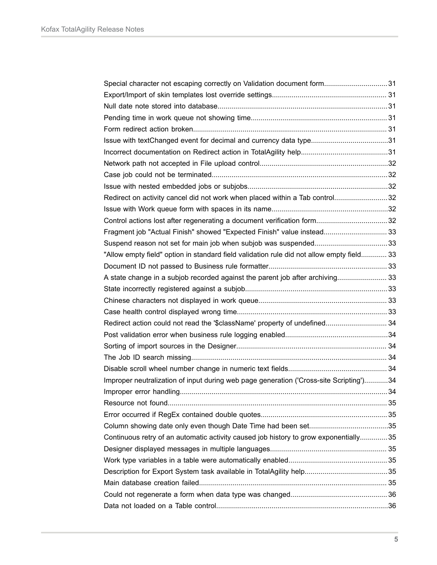| Special character not escaping correctly on Validation document form31                    |  |
|-------------------------------------------------------------------------------------------|--|
|                                                                                           |  |
|                                                                                           |  |
|                                                                                           |  |
|                                                                                           |  |
| Issue with textChanged event for decimal and currency data type31                         |  |
|                                                                                           |  |
|                                                                                           |  |
|                                                                                           |  |
|                                                                                           |  |
| Redirect on activity cancel did not work when placed within a Tab control32               |  |
|                                                                                           |  |
| Control actions lost after regenerating a document verification form32                    |  |
| Fragment job "Actual Finish" showed "Expected Finish" value instead 33                    |  |
|                                                                                           |  |
| "Allow empty field" option in standard field validation rule did not allow empty field 33 |  |
|                                                                                           |  |
| A state change in a subjob recorded against the parent job after archiving 33             |  |
|                                                                                           |  |
|                                                                                           |  |
|                                                                                           |  |
| Redirect action could not read the '\$className' property of undefined 34                 |  |
|                                                                                           |  |
|                                                                                           |  |
|                                                                                           |  |
|                                                                                           |  |
| Improper neutralization of input during web page generation ('Cross-site Scripting')34    |  |
|                                                                                           |  |
|                                                                                           |  |
|                                                                                           |  |
|                                                                                           |  |
| Continuous retry of an automatic activity caused job history to grow exponentially35      |  |
|                                                                                           |  |
|                                                                                           |  |
|                                                                                           |  |
|                                                                                           |  |
|                                                                                           |  |
|                                                                                           |  |
|                                                                                           |  |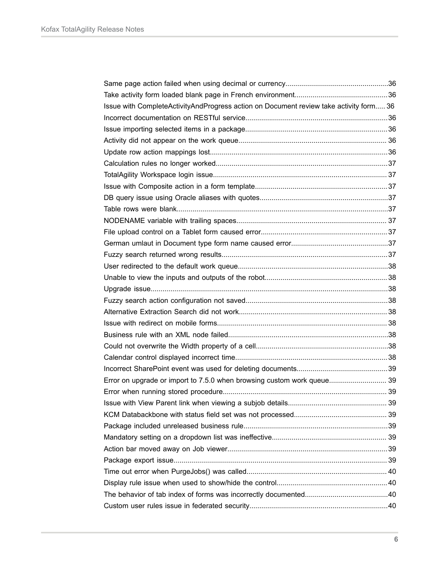| Issue with CompleteActivityAndProgress action on Document review take activity form 36 |  |
|----------------------------------------------------------------------------------------|--|
|                                                                                        |  |
|                                                                                        |  |
|                                                                                        |  |
|                                                                                        |  |
|                                                                                        |  |
|                                                                                        |  |
|                                                                                        |  |
|                                                                                        |  |
|                                                                                        |  |
|                                                                                        |  |
|                                                                                        |  |
|                                                                                        |  |
|                                                                                        |  |
|                                                                                        |  |
|                                                                                        |  |
|                                                                                        |  |
|                                                                                        |  |
|                                                                                        |  |
|                                                                                        |  |
|                                                                                        |  |
|                                                                                        |  |
|                                                                                        |  |
|                                                                                        |  |
| Error on upgrade or import to 7.5.0 when browsing custom work queue 39                 |  |
|                                                                                        |  |
|                                                                                        |  |
|                                                                                        |  |
|                                                                                        |  |
|                                                                                        |  |
|                                                                                        |  |
|                                                                                        |  |
|                                                                                        |  |
|                                                                                        |  |
|                                                                                        |  |
|                                                                                        |  |
|                                                                                        |  |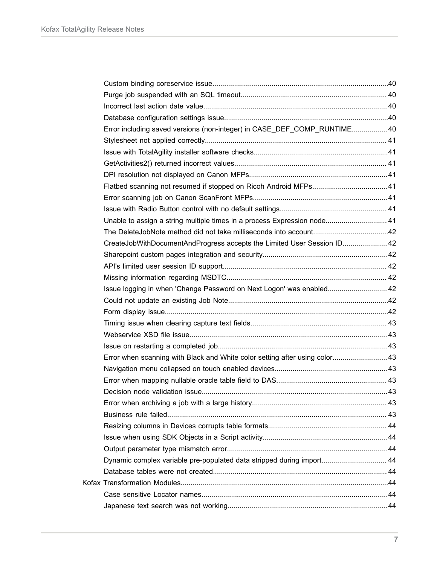| Error including saved versions (non-integer) in CASE_DEF_COMP_RUNTIME40    |  |
|----------------------------------------------------------------------------|--|
|                                                                            |  |
|                                                                            |  |
|                                                                            |  |
|                                                                            |  |
|                                                                            |  |
|                                                                            |  |
|                                                                            |  |
| Unable to assign a string multiple times in a process Expression node 41   |  |
|                                                                            |  |
| CreateJobWithDocumentAndProgress accepts the Limited User Session ID42     |  |
|                                                                            |  |
|                                                                            |  |
|                                                                            |  |
| Issue logging in when 'Change Password on Next Logon' was enabled 42       |  |
|                                                                            |  |
|                                                                            |  |
|                                                                            |  |
|                                                                            |  |
|                                                                            |  |
| Error when scanning with Black and White color setting after using color43 |  |
|                                                                            |  |
|                                                                            |  |
|                                                                            |  |
|                                                                            |  |
|                                                                            |  |
|                                                                            |  |
|                                                                            |  |
|                                                                            |  |
| Dynamic complex variable pre-populated data stripped during import 44      |  |
|                                                                            |  |
|                                                                            |  |
|                                                                            |  |
|                                                                            |  |
|                                                                            |  |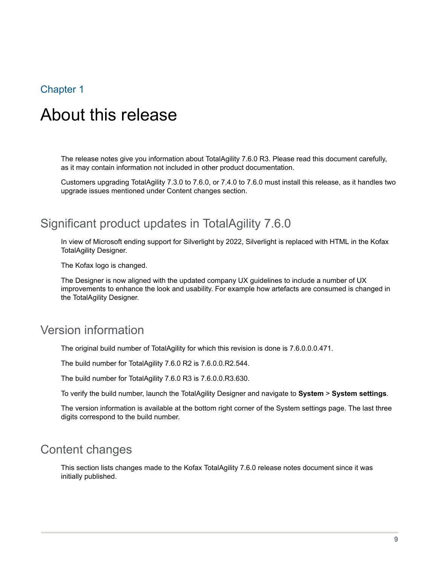# <span id="page-8-0"></span>Chapter 1

# About this release

The release notes give you information about TotalAgility 7.6.0 R3. Please read this document carefully, as it may contain information not included in other product documentation.

Customers upgrading TotalAgility 7.3.0 to 7.6.0, or 7.4.0 to 7.6.0 must install this release, as it handles two upgrade issues mentioned under Content changes section.

# <span id="page-8-1"></span>Significant product updates in TotalAgility 7.6.0

In view of Microsoft ending support for Silverlight by 2022, Silverlight is replaced with HTML in the Kofax TotalAgility Designer.

The Kofax logo is changed.

The Designer is now aligned with the updated company UX guidelines to include a number of UX improvements to enhance the look and usability. For example how artefacts are consumed is changed in the TotalAgility Designer.

# <span id="page-8-2"></span>Version information

The original build number of TotalAgility for which this revision is done is 7.6.0.0.0.471.

The build number for TotalAgility 7.6.0 R2 is 7.6.0.0.R2.544.

The build number for TotalAgility 7.6.0 R3 is 7.6.0.0.R3.630.

To verify the build number, launch the TotalAgility Designer and navigate to **System** > **System settings**.

The version information is available at the bottom right corner of the System settings page. The last three digits correspond to the build number.

# <span id="page-8-3"></span>Content changes

This section lists changes made to the Kofax TotalAgility 7.6.0 release notes document since it was initially published.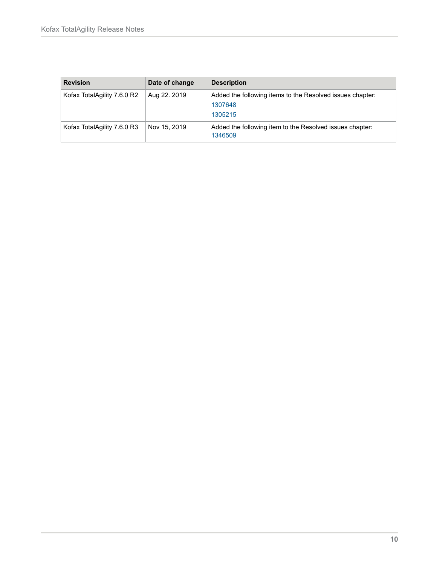| <b>Revision</b>             | Date of change | <b>Description</b>                                                              |
|-----------------------------|----------------|---------------------------------------------------------------------------------|
| Kofax TotalAgility 7.6.0 R2 | Aug 22. 2019   | Added the following items to the Resolved issues chapter:<br>1307648<br>1305215 |
| Kofax TotalAgility 7.6.0 R3 | Nov 15, 2019   | Added the following item to the Resolved issues chapter:<br>1346509             |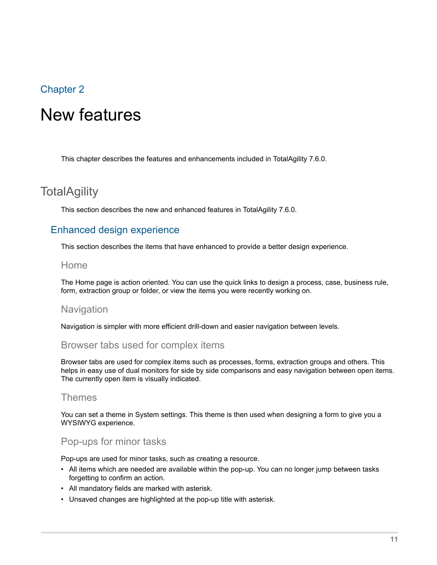# <span id="page-10-0"></span>Chapter 2

# New features

This chapter describes the features and enhancements included in TotalAgility 7.6.0.

# <span id="page-10-1"></span>**TotalAgility**

This section describes the new and enhanced features in TotalAgility 7.6.0.

# <span id="page-10-2"></span>Enhanced design experience

This section describes the items that have enhanced to provide a better design experience.

#### Home

The Home page is action oriented. You can use the quick links to design a process, case, business rule, form, extraction group or folder, or view the items you were recently working on.

#### **Navigation**

Navigation is simpler with more efficient drill-down and easier navigation between levels.

#### Browser tabs used for complex items

Browser tabs are used for complex items such as processes, forms, extraction groups and others. This helps in easy use of dual monitors for side by side comparisons and easy navigation between open items. The currently open item is visually indicated.

#### Themes

You can set a theme in System settings. This theme is then used when designing a form to give you a WYSIWYG experience.

#### Pop-ups for minor tasks

Pop-ups are used for minor tasks, such as creating a resource.

- All items which are needed are available within the pop-up. You can no longer jump between tasks forgetting to confirm an action.
- All mandatory fields are marked with asterisk.
- Unsaved changes are highlighted at the pop-up title with asterisk.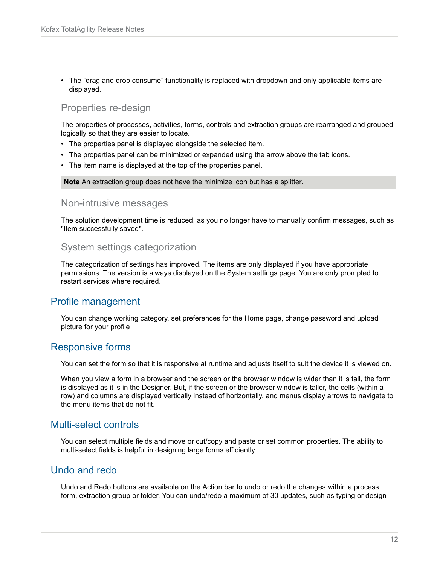• The "drag and drop consume" functionality is replaced with dropdown and only applicable items are displayed.

#### Properties re-design

The properties of processes, activities, forms, controls and extraction groups are rearranged and grouped logically so that they are easier to locate.

- The properties panel is displayed alongside the selected item.
- The properties panel can be minimized or expanded using the arrow above the tab icons.
- The item name is displayed at the top of the properties panel.

**Note** An extraction group does not have the minimize icon but has a splitter.

#### Non-intrusive messages

The solution development time is reduced, as you no longer have to manually confirm messages, such as "Item successfully saved".

#### System settings categorization

The categorization of settings has improved. The items are only displayed if you have appropriate permissions. The version is always displayed on the System settings page. You are only prompted to restart services where required.

#### <span id="page-11-0"></span>Profile management

You can change working category, set preferences for the Home page, change password and upload picture for your profile

#### <span id="page-11-1"></span>Responsive forms

You can set the form so that it is responsive at runtime and adjusts itself to suit the device it is viewed on.

When you view a form in a browser and the screen or the browser window is wider than it is tall, the form is displayed as it is in the Designer. But, if the screen or the browser window is taller, the cells (within a row) and columns are displayed vertically instead of horizontally, and menus display arrows to navigate to the menu items that do not fit.

#### <span id="page-11-2"></span>Multi-select controls

You can select multiple fields and move or cut/copy and paste or set common properties. The ability to multi-select fields is helpful in designing large forms efficiently.

#### <span id="page-11-3"></span>Undo and redo

Undo and Redo buttons are available on the Action bar to undo or redo the changes within a process, form, extraction group or folder. You can undo/redo a maximum of 30 updates, such as typing or design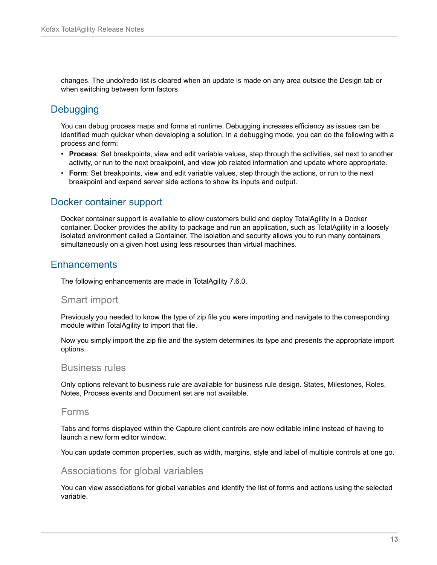changes. The undo/redo list is cleared when an update is made on any area outside the Design tab or when switching between form factors.

# <span id="page-12-0"></span>**Debugging**

You can debug process maps and forms at runtime. Debugging increases efficiency as issues can be identified much quicker when developing a solution. In a debugging mode, you can do the following with a process and form:

- **Process**: Set breakpoints, view and edit variable values, step through the activities, set next to another activity, or run to the next breakpoint, and view job related information and update where appropriate.
- **Form**: Set breakpoints, view and edit variable values, step through the actions, or run to the next breakpoint and expand server side actions to show its inputs and output.

### <span id="page-12-1"></span>Docker container support

Docker container support is available to allow customers build and deploy TotalAgility in a Docker container. Docker provides the ability to package and run an application, such as TotalAgility in a loosely isolated environment called a Container. The isolation and security allows you to run many containers simultaneously on a given host using less resources than virtual machines.

# <span id="page-12-2"></span>**Enhancements**

The following enhancements are made in TotalAgility 7.6.0.

#### Smart import

Previously you needed to know the type of zip file you were importing and navigate to the corresponding module within TotalAgility to import that file.

Now you simply import the zip file and the system determines its type and presents the appropriate import options.

#### Business rules

Only options relevant to business rule are available for business rule design. States, Milestones, Roles, Notes, Process events and Document set are not available.

#### Forms

Tabs and forms displayed within the Capture client controls are now editable inline instead of having to launch a new form editor window.

You can update common properties, such as width, margins, style and label of multiple controls at one go.

#### Associations for global variables

You can view associations for global variables and identify the list of forms and actions using the selected variable.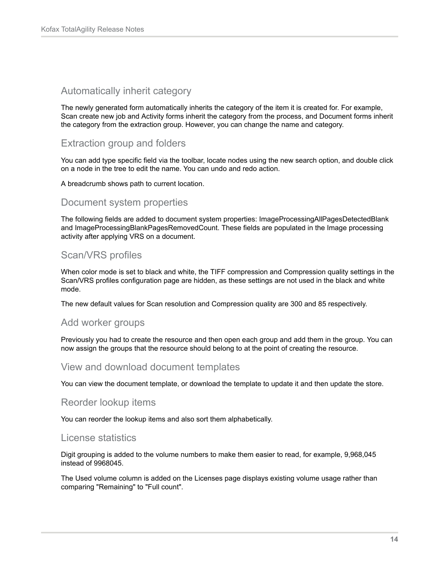### Automatically inherit category

The newly generated form automatically inherits the category of the item it is created for. For example, Scan create new job and Activity forms inherit the category from the process, and Document forms inherit the category from the extraction group. However, you can change the name and category.

#### Extraction group and folders

You can add type specific field via the toolbar, locate nodes using the new search option, and double click on a node in the tree to edit the name. You can undo and redo action.

A breadcrumb shows path to current location.

#### Document system properties

The following fields are added to document system properties: ImageProcessingAllPagesDetectedBlank and ImageProcessingBlankPagesRemovedCount. These fields are populated in the Image processing activity after applying VRS on a document.

# Scan/VRS profiles

When color mode is set to black and white, the TIFF compression and Compression quality settings in the Scan/VRS profiles configuration page are hidden, as these settings are not used in the black and white mode.

The new default values for Scan resolution and Compression quality are 300 and 85 respectively.

#### Add worker groups

Previously you had to create the resource and then open each group and add them in the group. You can now assign the groups that the resource should belong to at the point of creating the resource.

#### View and download document templates

You can view the document template, or download the template to update it and then update the store.

#### Reorder lookup items

You can reorder the lookup items and also sort them alphabetically.

#### License statistics

Digit grouping is added to the volume numbers to make them easier to read, for example, 9,968,045 instead of 9968045.

The Used volume column is added on the Licenses page displays existing volume usage rather than comparing "Remaining" to "Full count".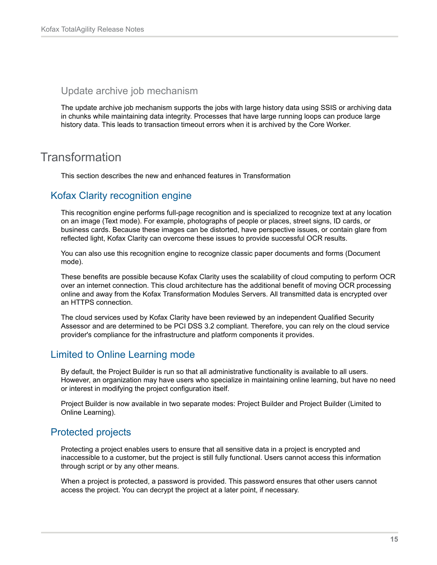#### Update archive job mechanism

The update archive job mechanism supports the jobs with large history data using SSIS or archiving data in chunks while maintaining data integrity. Processes that have large running loops can produce large history data. This leads to transaction timeout errors when it is archived by the Core Worker.

# <span id="page-14-0"></span>Transformation

This section describes the new and enhanced features in Transformation

### <span id="page-14-1"></span>Kofax Clarity recognition engine

This recognition engine performs full-page recognition and is specialized to recognize text at any location on an image (Text mode). For example, photographs of people or places, street signs, ID cards, or business cards. Because these images can be distorted, have perspective issues, or contain glare from reflected light, Kofax Clarity can overcome these issues to provide successful OCR results.

You can also use this recognition engine to recognize classic paper documents and forms (Document mode).

These benefits are possible because Kofax Clarity uses the scalability of cloud computing to perform OCR over an internet connection. This cloud architecture has the additional benefit of moving OCR processing online and away from the Kofax Transformation Modules Servers. All transmitted data is encrypted over an HTTPS connection.

The cloud services used by Kofax Clarity have been reviewed by an independent Qualified Security Assessor and are determined to be PCI DSS 3.2 compliant. Therefore, you can rely on the cloud service provider's compliance for the infrastructure and platform components it provides.

# <span id="page-14-2"></span>Limited to Online Learning mode

By default, the Project Builder is run so that all administrative functionality is available to all users. However, an organization may have users who specialize in maintaining online learning, but have no need or interest in modifying the project configuration itself.

Project Builder is now available in two separate modes: Project Builder and Project Builder (Limited to Online Learning).

#### <span id="page-14-3"></span>Protected projects

Protecting a project enables users to ensure that all sensitive data in a project is encrypted and inaccessible to a customer, but the project is still fully functional. Users cannot access this information through script or by any other means.

When a project is protected, a password is provided. This password ensures that other users cannot access the project. You can decrypt the project at a later point, if necessary.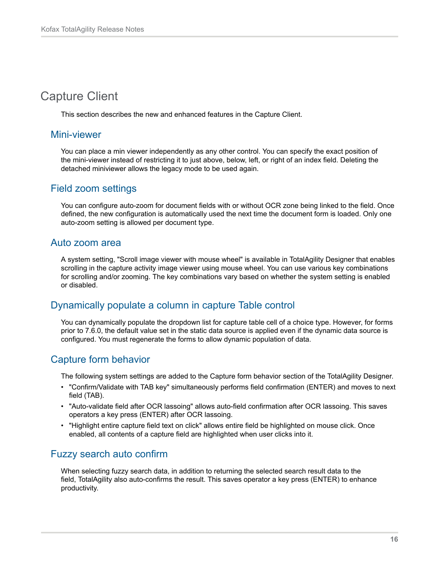# <span id="page-15-0"></span>Capture Client

This section describes the new and enhanced features in the Capture Client.

#### <span id="page-15-1"></span>Mini-viewer

You can place a min viewer independently as any other control. You can specify the exact position of the mini-viewer instead of restricting it to just above, below, left, or right of an index field. Deleting the detached miniviewer allows the legacy mode to be used again.

### <span id="page-15-2"></span>Field zoom settings

You can configure auto-zoom for document fields with or without OCR zone being linked to the field. Once defined, the new configuration is automatically used the next time the document form is loaded. Only one auto-zoom setting is allowed per document type.

### <span id="page-15-3"></span>Auto zoom area

A system setting, "Scroll image viewer with mouse wheel" is available in TotalAgility Designer that enables scrolling in the capture activity image viewer using mouse wheel. You can use various key combinations for scrolling and/or zooming. The key combinations vary based on whether the system setting is enabled or disabled.

# <span id="page-15-4"></span>Dynamically populate a column in capture Table control

You can dynamically populate the dropdown list for capture table cell of a choice type. However, for forms prior to 7.6.0, the default value set in the static data source is applied even if the dynamic data source is configured. You must regenerate the forms to allow dynamic population of data.

# <span id="page-15-5"></span>Capture form behavior

The following system settings are added to the Capture form behavior section of the TotalAgility Designer.

- "Confirm/Validate with TAB key" simultaneously performs field confirmation (ENTER) and moves to next field (TAB).
- "Auto-validate field after OCR lassoing" allows auto-field confirmation after OCR lassoing. This saves operators a key press (ENTER) after OCR lassoing.
- "Highlight entire capture field text on click" allows entire field be highlighted on mouse click. Once enabled, all contents of a capture field are highlighted when user clicks into it.

# <span id="page-15-6"></span>Fuzzy search auto confirm

When selecting fuzzy search data, in addition to returning the selected search result data to the field, TotalAgility also auto-confirms the result. This saves operator a key press (ENTER) to enhance productivity.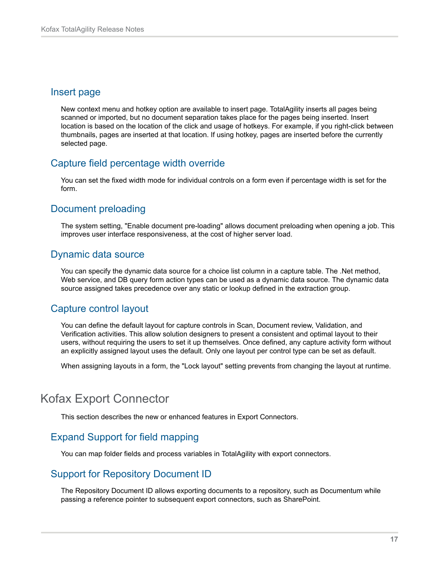#### <span id="page-16-0"></span>Insert page

New context menu and hotkey option are available to insert page. TotalAgility inserts all pages being scanned or imported, but no document separation takes place for the pages being inserted. Insert location is based on the location of the click and usage of hotkeys. For example, if you right-click between thumbnails, pages are inserted at that location. If using hotkey, pages are inserted before the currently selected page.

# <span id="page-16-1"></span>Capture field percentage width override

You can set the fixed width mode for individual controls on a form even if percentage width is set for the form.

# <span id="page-16-2"></span>Document preloading

The system setting, "Enable document pre-loading" allows document preloading when opening a job. This improves user interface responsiveness, at the cost of higher server load.

# <span id="page-16-3"></span>Dynamic data source

You can specify the dynamic data source for a choice list column in a capture table. The .Net method, Web service, and DB query form action types can be used as a dynamic data source. The dynamic data source assigned takes precedence over any static or lookup defined in the extraction group.

# <span id="page-16-4"></span>Capture control layout

You can define the default layout for capture controls in Scan, Document review, Validation, and Verification activities. This allow solution designers to present a consistent and optimal layout to their users, without requiring the users to set it up themselves. Once defined, any capture activity form without an explicitly assigned layout uses the default. Only one layout per control type can be set as default.

When assigning layouts in a form, the "Lock layout" setting prevents from changing the layout at runtime.

# <span id="page-16-5"></span>Kofax Export Connector

This section describes the new or enhanced features in Export Connectors.

# <span id="page-16-6"></span>Expand Support for field mapping

You can map folder fields and process variables in TotalAgility with export connectors.

# <span id="page-16-7"></span>Support for Repository Document ID

The Repository Document ID allows exporting documents to a repository, such as Documentum while passing a reference pointer to subsequent export connectors, such as SharePoint.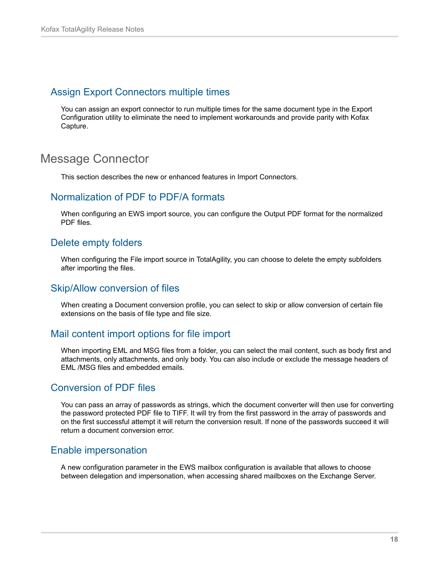#### <span id="page-17-0"></span>Assign Export Connectors multiple times

You can assign an export connector to run multiple times for the same document type in the Export Configuration utility to eliminate the need to implement workarounds and provide parity with Kofax Capture.

# <span id="page-17-1"></span>Message Connector

This section describes the new or enhanced features in Import Connectors.

# <span id="page-17-2"></span>Normalization of PDF to PDF/A formats

When configuring an EWS import source, you can configure the Output PDF format for the normalized PDF files.

### <span id="page-17-3"></span>Delete empty folders

When configuring the File import source in TotalAgility, you can choose to delete the empty subfolders after importing the files.

#### <span id="page-17-4"></span>Skip/Allow conversion of files

When creating a Document conversion profile, you can select to skip or allow conversion of certain file extensions on the basis of file type and file size.

# <span id="page-17-5"></span>Mail content import options for file import

When importing EML and MSG files from a folder, you can select the mail content, such as body first and attachments, only attachments, and only body. You can also include or exclude the message headers of EML /MSG files and embedded emails.

#### <span id="page-17-6"></span>Conversion of PDF files

You can pass an array of passwords as strings, which the document converter will then use for converting the password protected PDF file to TIFF. It will try from the first password in the array of passwords and on the first successful attempt it will return the conversion result. If none of the passwords succeed it will return a document conversion error.

#### <span id="page-17-7"></span>Enable impersonation

A new configuration parameter in the EWS mailbox configuration is available that allows to choose between delegation and impersonation, when accessing shared mailboxes on the Exchange Server.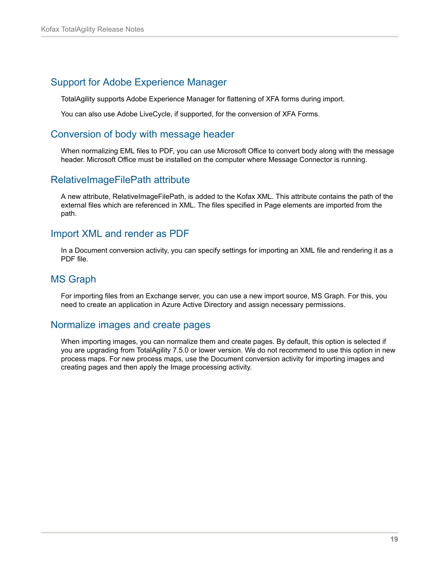# <span id="page-18-0"></span>Support for Adobe Experience Manager

TotalAgility supports Adobe Experience Manager for flattening of XFA forms during import.

You can also use Adobe LiveCycle, if supported, for the conversion of XFA Forms.

## <span id="page-18-1"></span>Conversion of body with message header

When normalizing EML files to PDF, you can use Microsoft Office to convert body along with the message header. Microsoft Office must be installed on the computer where Message Connector is running.

# <span id="page-18-2"></span>RelativeImageFilePath attribute

A new attribute, RelativeImageFilePath, is added to the Kofax XML. This attribute contains the path of the external files which are referenced in XML. The files specified in Page elements are imported from the path.

# <span id="page-18-3"></span>Import XML and render as PDF

In a Document conversion activity, you can specify settings for importing an XML file and rendering it as a PDF file.

# <span id="page-18-4"></span>MS Graph

For importing files from an Exchange server, you can use a new import source, MS Graph. For this, you need to create an application in Azure Active Directory and assign necessary permissions.

# <span id="page-18-5"></span>Normalize images and create pages

When importing images, you can normalize them and create pages. By default, this option is selected if you are upgrading from TotalAgility 7.5.0 or lower version. We do not recommend to use this option in new process maps. For new process maps, use the Document conversion activity for importing images and creating pages and then apply the Image processing activity.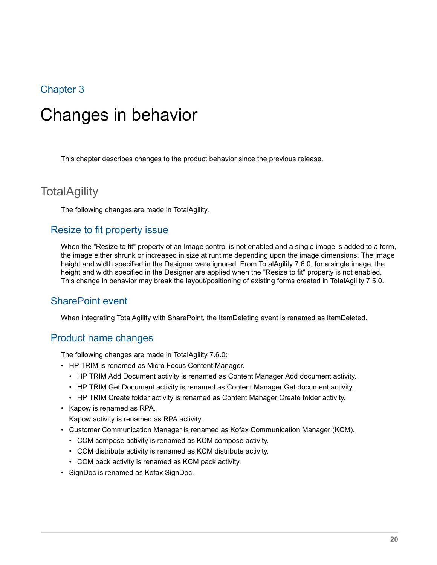# <span id="page-19-0"></span>Chapter 3

# Changes in behavior

This chapter describes changes to the product behavior since the previous release.

# <span id="page-19-1"></span>**TotalAgility**

The following changes are made in TotalAgility.

#### <span id="page-19-2"></span>Resize to fit property issue

When the "Resize to fit" property of an Image control is not enabled and a single image is added to a form, the image either shrunk or increased in size at runtime depending upon the image dimensions. The image height and width specified in the Designer were ignored. From TotalAgility 7.6.0, for a single image, the height and width specified in the Designer are applied when the "Resize to fit" property is not enabled. This change in behavior may break the layout/positioning of existing forms created in TotalAgility 7.5.0.

#### <span id="page-19-3"></span>SharePoint event

When integrating TotalAgility with SharePoint, the ItemDeleting event is renamed as ItemDeleted.

#### <span id="page-19-4"></span>Product name changes

The following changes are made in TotalAgility 7.6.0:

- HP TRIM is renamed as Micro Focus Content Manager.
	- HP TRIM Add Document activity is renamed as Content Manager Add document activity.
	- HP TRIM Get Document activity is renamed as Content Manager Get document activity.
	- HP TRIM Create folder activity is renamed as Content Manager Create folder activity.
- Kapow is renamed as RPA.

Kapow activity is renamed as RPA activity.

- Customer Communication Manager is renamed as Kofax Communication Manager (KCM).
	- CCM compose activity is renamed as KCM compose activity.
	- CCM distribute activity is renamed as KCM distribute activity.
	- CCM pack activity is renamed as KCM pack activity.
- SignDoc is renamed as Kofax SignDoc.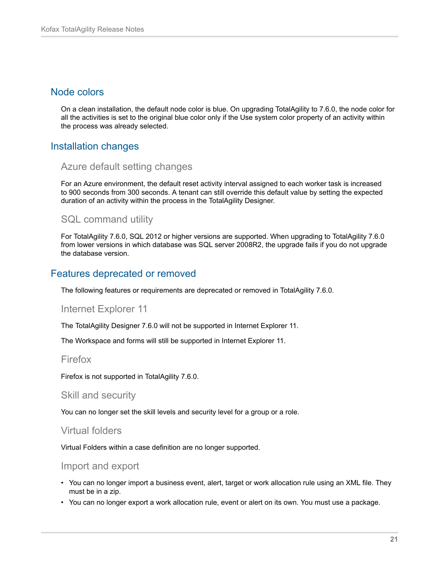#### <span id="page-20-0"></span>Node colors

On a clean installation, the default node color is blue. On upgrading TotalAgility to 7.6.0, the node color for all the activities is set to the original blue color only if the Use system color property of an activity within the process was already selected.

# <span id="page-20-1"></span>Installation changes

#### Azure default setting changes

For an Azure environment, the default reset activity interval assigned to each worker task is increased to 900 seconds from 300 seconds. A tenant can still override this default value by setting the expected duration of an activity within the process in the TotalAgility Designer.

#### SQL command utility

For TotalAgility 7.6.0, SQL 2012 or higher versions are supported. When upgrading to TotalAgility 7.6.0 from lower versions in which database was SQL server 2008R2, the upgrade fails if you do not upgrade the database version.

### <span id="page-20-2"></span>Features deprecated or removed

The following features or requirements are deprecated or removed in TotalAgility 7.6.0.

#### Internet Explorer 11

The TotalAgility Designer 7.6.0 will not be supported in Internet Explorer 11.

The Workspace and forms will still be supported in Internet Explorer 11.

#### Firefox

Firefox is not supported in TotalAgility 7.6.0.

#### Skill and security

You can no longer set the skill levels and security level for a group or a role.

#### Virtual folders

Virtual Folders within a case definition are no longer supported.

#### Import and export

- You can no longer import a business event, alert, target or work allocation rule using an XML file. They must be in a zip.
- You can no longer export a work allocation rule, event or alert on its own. You must use a package.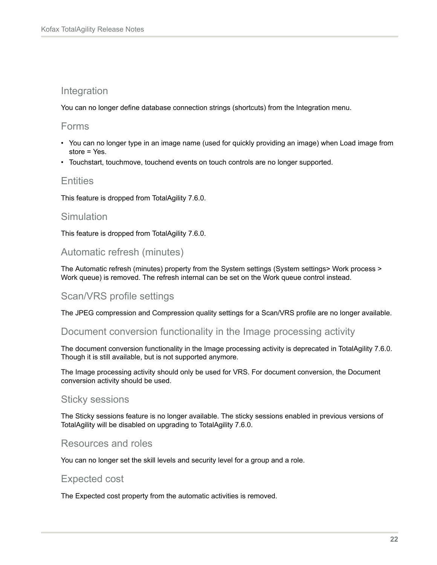## Integration

You can no longer define database connection strings (shortcuts) from the Integration menu.

#### Forms

- You can no longer type in an image name (used for quickly providing an image) when Load image from store = Yes.
- Touchstart, touchmove, touchend events on touch controls are no longer supported.

#### **Entities**

This feature is dropped from TotalAgility 7.6.0.

#### **Simulation**

This feature is dropped from TotalAgility 7.6.0.

### Automatic refresh (minutes)

The Automatic refresh (minutes) property from the System settings (System settings> Work process > Work queue) is removed. The refresh internal can be set on the Work queue control instead.

# Scan/VRS profile settings

The JPEG compression and Compression quality settings for a Scan/VRS profile are no longer available.

#### Document conversion functionality in the Image processing activity

The document conversion functionality in the Image processing activity is deprecated in TotalAgility 7.6.0. Though it is still available, but is not supported anymore.

The Image processing activity should only be used for VRS. For document conversion, the Document conversion activity should be used.

#### Sticky sessions

The Sticky sessions feature is no longer available. The sticky sessions enabled in previous versions of TotalAgility will be disabled on upgrading to TotalAgility 7.6.0.

# Resources and roles

You can no longer set the skill levels and security level for a group and a role.

#### Expected cost

The Expected cost property from the automatic activities is removed.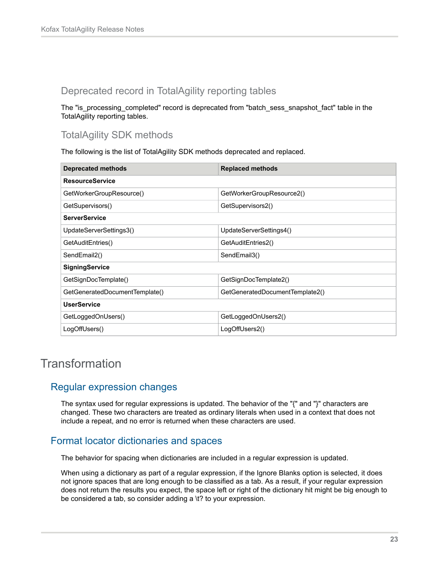# Deprecated record in TotalAgility reporting tables

The "is\_processing\_completed" record is deprecated from "batch\_sess\_snapshot\_fact" table in the TotalAgility reporting tables.

# TotalAgility SDK methods

The following is the list of TotalAgility SDK methods deprecated and replaced.

| <b>Deprecated methods</b>      | <b>Replaced methods</b>         |  |
|--------------------------------|---------------------------------|--|
| <b>ResourceService</b>         |                                 |  |
| GetWorkerGroupResource()       | GetWorkerGroupResource2()       |  |
| GetSupervisors()               | GetSupervisors2()               |  |
| <b>ServerService</b>           |                                 |  |
| UpdateServerSettings3()        | UpdateServerSettings4()         |  |
| GetAuditEntries()              | GetAuditEntries2()              |  |
| SendEmail2()                   | SendEmail3()                    |  |
| SigningService                 |                                 |  |
| GetSignDocTemplate()           | GetSignDocTemplate2()           |  |
| GetGeneratedDocumentTemplate() | GetGeneratedDocumentTemplate2() |  |
| <b>UserService</b>             |                                 |  |
| GetLoggedOnUsers()             | GetLoggedOnUsers2()             |  |
| LogOffUsers()                  | LogOffUsers2()                  |  |

# <span id="page-22-0"></span>**Transformation**

# <span id="page-22-1"></span>Regular expression changes

The syntax used for regular expressions is updated. The behavior of the "{" and "}" characters are changed. These two characters are treated as ordinary literals when used in a context that does not include a repeat, and no error is returned when these characters are used.

# <span id="page-22-2"></span>Format locator dictionaries and spaces

The behavior for spacing when dictionaries are included in a regular expression is updated.

When using a dictionary as part of a regular expression, if the Ignore Blanks option is selected, it does not ignore spaces that are long enough to be classified as a tab. As a result, if your regular expression does not return the results you expect, the space left or right of the dictionary hit might be big enough to be considered a tab, so consider adding a \t? to your expression.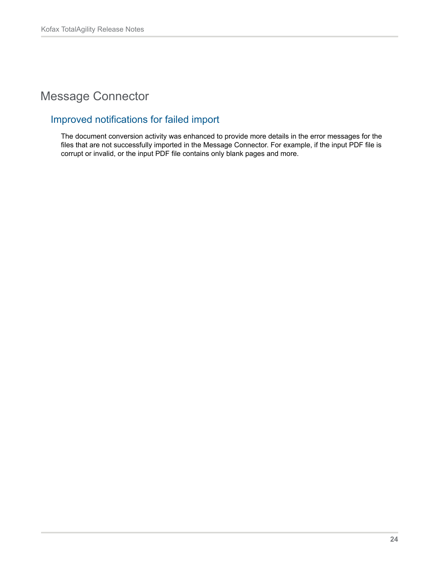# <span id="page-23-0"></span>Message Connector

# <span id="page-23-1"></span>Improved notifications for failed import

The document conversion activity was enhanced to provide more details in the error messages for the files that are not successfully imported in the Message Connector. For example, if the input PDF file is corrupt or invalid, or the input PDF file contains only blank pages and more.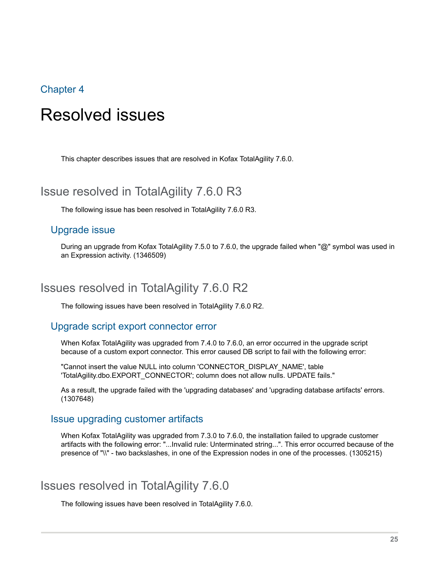## <span id="page-24-0"></span>Chapter 4

# Resolved issues

This chapter describes issues that are resolved in Kofax TotalAgility 7.6.0.

# <span id="page-24-1"></span>Issue resolved in TotalAgility 7.6.0 R3

The following issue has been resolved in TotalAgility 7.6.0 R3.

#### <span id="page-24-2"></span>Upgrade issue

During an upgrade from Kofax TotalAgility 7.5.0 to 7.6.0, the upgrade failed when "@" symbol was used in an Expression activity. (1346509)

# <span id="page-24-3"></span>Issues resolved in TotalAgility 7.6.0 R2

The following issues have been resolved in TotalAgility 7.6.0 R2.

#### <span id="page-24-4"></span>Upgrade script export connector error

When Kofax TotalAgility was upgraded from 7.4.0 to 7.6.0, an error occurred in the upgrade script because of a custom export connector. This error caused DB script to fail with the following error:

"Cannot insert the value NULL into column 'CONNECTOR\_DISPLAY\_NAME', table 'TotalAgility.dbo.EXPORT\_CONNECTOR'; column does not allow nulls. UPDATE fails."

As a result, the upgrade failed with the 'upgrading databases' and 'upgrading database artifacts' errors. (1307648)

#### <span id="page-24-5"></span>Issue upgrading customer artifacts

When Kofax TotalAgility was upgraded from 7.3.0 to 7.6.0, the installation failed to upgrade customer artifacts with the following error: "...Invalid rule: Unterminated string...". This error occurred because of the presence of "\\" - two backslashes, in one of the Expression nodes in one of the processes. (1305215)

# <span id="page-24-6"></span>Issues resolved in TotalAgility 7.6.0

The following issues have been resolved in TotalAgility 7.6.0.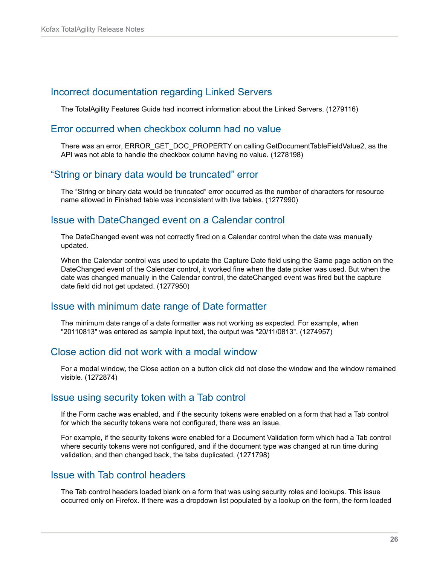### <span id="page-25-0"></span>Incorrect documentation regarding Linked Servers

The TotalAgility Features Guide had incorrect information about the Linked Servers. (1279116)

#### <span id="page-25-1"></span>Error occurred when checkbox column had no value

There was an error, ERROR\_GET\_DOC\_PROPERTY on calling GetDocumentTableFieldValue2, as the API was not able to handle the checkbox column having no value. (1278198)

#### <span id="page-25-2"></span>"String or binary data would be truncated" error

The "String or binary data would be truncated" error occurred as the number of characters for resource name allowed in Finished table was inconsistent with live tables. (1277990)

### <span id="page-25-3"></span>Issue with DateChanged event on a Calendar control

The DateChanged event was not correctly fired on a Calendar control when the date was manually updated.

When the Calendar control was used to update the Capture Date field using the Same page action on the DateChanged event of the Calendar control, it worked fine when the date picker was used. But when the date was changed manually in the Calendar control, the dateChanged event was fired but the capture date field did not get updated. (1277950)

#### <span id="page-25-4"></span>Issue with minimum date range of Date formatter

The minimum date range of a date formatter was not working as expected. For example, when "20110813" was entered as sample input text, the output was "20/11/0813". (1274957)

#### <span id="page-25-5"></span>Close action did not work with a modal window

For a modal window, the Close action on a button click did not close the window and the window remained visible. (1272874)

#### <span id="page-25-6"></span>Issue using security token with a Tab control

If the Form cache was enabled, and if the security tokens were enabled on a form that had a Tab control for which the security tokens were not configured, there was an issue.

For example, if the security tokens were enabled for a Document Validation form which had a Tab control where security tokens were not configured, and if the document type was changed at run time during validation, and then changed back, the tabs duplicated. (1271798)

#### <span id="page-25-7"></span>Issue with Tab control headers

The Tab control headers loaded blank on a form that was using security roles and lookups. This issue occurred only on Firefox. If there was a dropdown list populated by a lookup on the form, the form loaded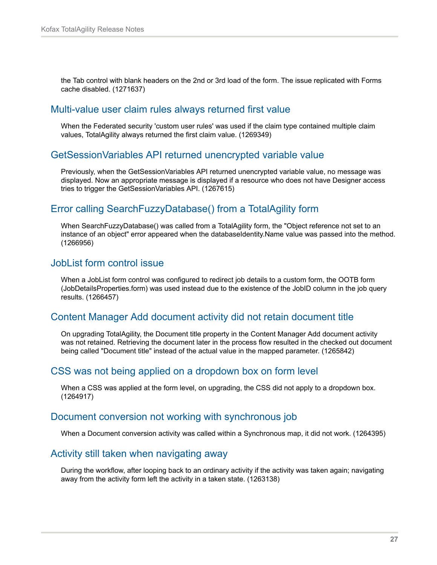the Tab control with blank headers on the 2nd or 3rd load of the form. The issue replicated with Forms cache disabled. (1271637)

#### <span id="page-26-0"></span>Multi-value user claim rules always returned first value

When the Federated security 'custom user rules' was used if the claim type contained multiple claim values, TotalAgility always returned the first claim value. (1269349)

#### <span id="page-26-1"></span>GetSessionVariables API returned unencrypted variable value

Previously, when the GetSessionVariables API returned unencrypted variable value, no message was displayed. Now an appropriate message is displayed if a resource who does not have Designer access tries to trigger the GetSessionVariables API. (1267615)

# <span id="page-26-2"></span>Error calling SearchFuzzyDatabase() from a TotalAgility form

When SearchFuzzyDatabase() was called from a TotalAgility form, the "Object reference not set to an instance of an object" error appeared when the databaseIdentity.Name value was passed into the method. (1266956)

#### <span id="page-26-3"></span>JobList form control issue

When a JobList form control was configured to redirect job details to a custom form, the OOTB form (JobDetailsProperties.form) was used instead due to the existence of the JobID column in the job query results. (1266457)

#### <span id="page-26-4"></span>Content Manager Add document activity did not retain document title

On upgrading TotalAgility, the Document title property in the Content Manager Add document activity was not retained. Retrieving the document later in the process flow resulted in the checked out document being called "Document title" instead of the actual value in the mapped parameter. (1265842)

#### <span id="page-26-5"></span>CSS was not being applied on a dropdown box on form level

When a CSS was applied at the form level, on upgrading, the CSS did not apply to a dropdown box. (1264917)

#### <span id="page-26-6"></span>Document conversion not working with synchronous job

When a Document conversion activity was called within a Synchronous map, it did not work. (1264395)

#### <span id="page-26-7"></span>Activity still taken when navigating away

During the workflow, after looping back to an ordinary activity if the activity was taken again; navigating away from the activity form left the activity in a taken state. (1263138)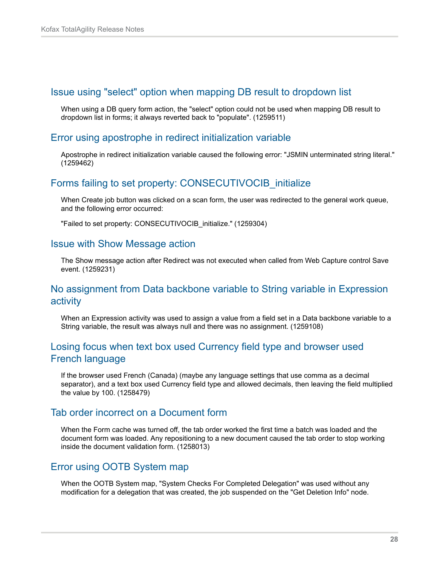#### <span id="page-27-0"></span>Issue using "select" option when mapping DB result to dropdown list

When using a DB query form action, the "select" option could not be used when mapping DB result to dropdown list in forms; it always reverted back to "populate". (1259511)

#### <span id="page-27-1"></span>Error using apostrophe in redirect initialization variable

Apostrophe in redirect initialization variable caused the following error: "JSMIN unterminated string literal." (1259462)

### <span id="page-27-2"></span>Forms failing to set property: CONSECUTIVOCIB\_initialize

When Create job button was clicked on a scan form, the user was redirected to the general work queue, and the following error occurred:

"Failed to set property: CONSECUTIVOCIB\_initialize." (1259304)

#### <span id="page-27-3"></span>Issue with Show Message action

The Show message action after Redirect was not executed when called from Web Capture control Save event. (1259231)

# <span id="page-27-4"></span>No assignment from Data backbone variable to String variable in Expression activity

When an Expression activity was used to assign a value from a field set in a Data backbone variable to a String variable, the result was always null and there was no assignment. (1259108)

# <span id="page-27-5"></span>Losing focus when text box used Currency field type and browser used French language

If the browser used French (Canada) (maybe any language settings that use comma as a decimal separator), and a text box used Currency field type and allowed decimals, then leaving the field multiplied the value by 100. (1258479)

#### <span id="page-27-6"></span>Tab order incorrect on a Document form

When the Form cache was turned off, the tab order worked the first time a batch was loaded and the document form was loaded. Any repositioning to a new document caused the tab order to stop working inside the document validation form. (1258013)

#### <span id="page-27-7"></span>Error using OOTB System map

When the OOTB System map, "System Checks For Completed Delegation" was used without any modification for a delegation that was created, the job suspended on the "Get Deletion Info" node.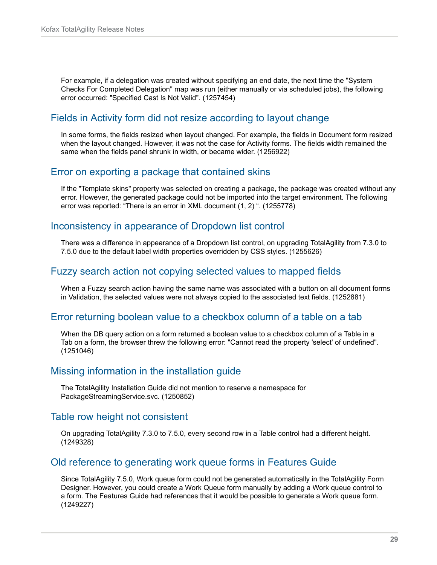For example, if a delegation was created without specifying an end date, the next time the "System Checks For Completed Delegation" map was run (either manually or via scheduled jobs), the following error occurred: "Specified Cast Is Not Valid". (1257454)

# <span id="page-28-0"></span>Fields in Activity form did not resize according to layout change

In some forms, the fields resized when layout changed. For example, the fields in Document form resized when the layout changed. However, it was not the case for Activity forms. The fields width remained the same when the fields panel shrunk in width, or became wider. (1256922)

### <span id="page-28-1"></span>Error on exporting a package that contained skins

If the "Template skins" property was selected on creating a package, the package was created without any error. However, the generated package could not be imported into the target environment. The following error was reported: "There is an error in XML document (1, 2) ". (1255778)

#### <span id="page-28-2"></span>Inconsistency in appearance of Dropdown list control

There was a difference in appearance of a Dropdown list control, on upgrading TotalAgility from 7.3.0 to 7.5.0 due to the default label width properties overridden by CSS styles. (1255626)

# <span id="page-28-3"></span>Fuzzy search action not copying selected values to mapped fields

When a Fuzzy search action having the same name was associated with a button on all document forms in Validation, the selected values were not always copied to the associated text fields. (1252881)

#### <span id="page-28-4"></span>Error returning boolean value to a checkbox column of a table on a tab

When the DB query action on a form returned a boolean value to a checkbox column of a Table in a Tab on a form, the browser threw the following error: "Cannot read the property 'select' of undefined". (1251046)

# <span id="page-28-5"></span>Missing information in the installation guide

The TotalAgility Installation Guide did not mention to reserve a namespace for PackageStreamingService.svc. (1250852)

#### <span id="page-28-6"></span>Table row height not consistent

On upgrading TotalAgility 7.3.0 to 7.5.0, every second row in a Table control had a different height. (1249328)

# <span id="page-28-7"></span>Old reference to generating work queue forms in Features Guide

Since TotalAgility 7.5.0, Work queue form could not be generated automatically in the TotalAgility Form Designer. However, you could create a Work Queue form manually by adding a Work queue control to a form. The Features Guide had references that it would be possible to generate a Work queue form. (1249227)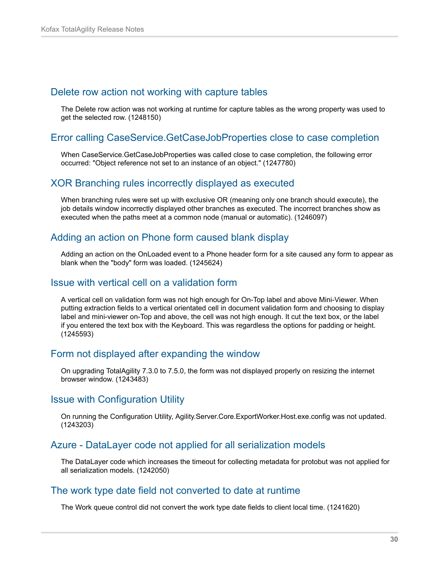#### <span id="page-29-0"></span>Delete row action not working with capture tables

The Delete row action was not working at runtime for capture tables as the wrong property was used to get the selected row. (1248150)

#### <span id="page-29-1"></span>Error calling CaseService.GetCaseJobProperties close to case completion

When CaseService.GetCaseJobProperties was called close to case completion, the following error occurred: "Object reference not set to an instance of an object." (1247780)

#### <span id="page-29-2"></span>XOR Branching rules incorrectly displayed as executed

When branching rules were set up with exclusive OR (meaning only one branch should execute), the job details window incorrectly displayed other branches as executed. The incorrect branches show as executed when the paths meet at a common node (manual or automatic). (1246097)

#### <span id="page-29-3"></span>Adding an action on Phone form caused blank display

Adding an action on the OnLoaded event to a Phone header form for a site caused any form to appear as blank when the "body" form was loaded. (1245624)

#### <span id="page-29-4"></span>Issue with vertical cell on a validation form

A vertical cell on validation form was not high enough for On-Top label and above Mini-Viewer. When putting extraction fields to a vertical orientated cell in document validation form and choosing to display label and mini-viewer on-Top and above, the cell was not high enough. It cut the text box, or the label if you entered the text box with the Keyboard. This was regardless the options for padding or height. (1245593)

#### <span id="page-29-5"></span>Form not displayed after expanding the window

On upgrading TotalAgility 7.3.0 to 7.5.0, the form was not displayed properly on resizing the internet browser window. (1243483)

#### <span id="page-29-6"></span>Issue with Configuration Utility

On running the Configuration Utility, Agility.Server.Core.ExportWorker.Host.exe.config was not updated. (1243203)

# <span id="page-29-7"></span>Azure - DataLayer code not applied for all serialization models

The DataLayer code which increases the timeout for collecting metadata for protobut was not applied for all serialization models. (1242050)

#### <span id="page-29-8"></span>The work type date field not converted to date at runtime

The Work queue control did not convert the work type date fields to client local time. (1241620)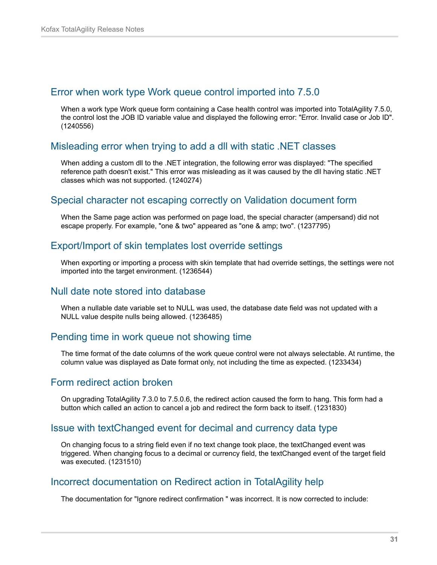#### <span id="page-30-0"></span>Error when work type Work queue control imported into 7.5.0

When a work type Work queue form containing a Case health control was imported into TotalAgility 7.5.0, the control lost the JOB ID variable value and displayed the following error: "Error. Invalid case or Job ID". (1240556)

### <span id="page-30-1"></span>Misleading error when trying to add a dll with static .NET classes

When adding a custom dll to the .NET integration, the following error was displayed: "The specified reference path doesn't exist." This error was misleading as it was caused by the dll having static .NET classes which was not supported. (1240274)

#### <span id="page-30-2"></span>Special character not escaping correctly on Validation document form

When the Same page action was performed on page load, the special character (ampersand) did not escape properly. For example, "one & two" appeared as "one & amp; two". (1237795)

### <span id="page-30-3"></span>Export/Import of skin templates lost override settings

When exporting or importing a process with skin template that had override settings, the settings were not imported into the target environment. (1236544)

# <span id="page-30-4"></span>Null date note stored into database

When a nullable date variable set to NULL was used, the database date field was not updated with a NULL value despite nulls being allowed. (1236485)

#### <span id="page-30-5"></span>Pending time in work queue not showing time

The time format of the date columns of the work queue control were not always selectable. At runtime, the column value was displayed as Date format only, not including the time as expected. (1233434)

#### <span id="page-30-6"></span>Form redirect action broken

On upgrading TotalAgility 7.3.0 to 7.5.0.6, the redirect action caused the form to hang. This form had a button which called an action to cancel a job and redirect the form back to itself. (1231830)

#### <span id="page-30-7"></span>Issue with textChanged event for decimal and currency data type

On changing focus to a string field even if no text change took place, the textChanged event was triggered. When changing focus to a decimal or currency field, the textChanged event of the target field was executed. (1231510)

#### <span id="page-30-8"></span>Incorrect documentation on Redirect action in TotalAgility help

The documentation for "Ignore redirect confirmation " was incorrect. It is now corrected to include: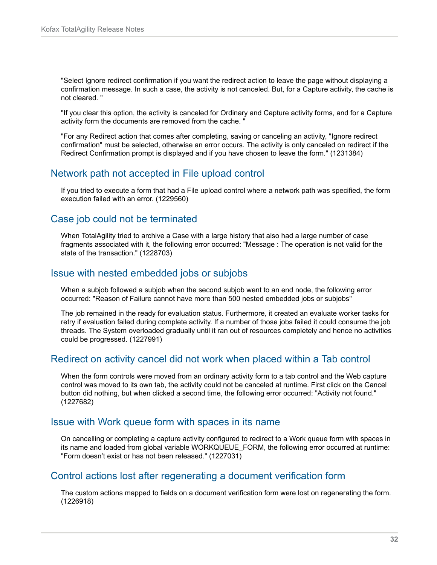"Select Ignore redirect confirmation if you want the redirect action to leave the page without displaying a confirmation message. In such a case, the activity is not canceled. But, for a Capture activity, the cache is not cleared. "

"If you clear this option, the activity is canceled for Ordinary and Capture activity forms, and for a Capture activity form the documents are removed from the cache. "

"For any Redirect action that comes after completing, saving or canceling an activity, "Ignore redirect confirmation" must be selected, otherwise an error occurs. The activity is only canceled on redirect if the Redirect Confirmation prompt is displayed and if you have chosen to leave the form." (1231384)

# <span id="page-31-0"></span>Network path not accepted in File upload control

If you tried to execute a form that had a File upload control where a network path was specified, the form execution failed with an error. (1229560)

# <span id="page-31-1"></span>Case job could not be terminated

When TotalAgility tried to archive a Case with a large history that also had a large number of case fragments associated with it, the following error occurred: "Message : The operation is not valid for the state of the transaction." (1228703)

# <span id="page-31-2"></span>Issue with nested embedded jobs or subjobs

When a subjob followed a subjob when the second subjob went to an end node, the following error occurred: "Reason of Failure cannot have more than 500 nested embedded jobs or subjobs"

The job remained in the ready for evaluation status. Furthermore, it created an evaluate worker tasks for retry if evaluation failed during complete activity. If a number of those jobs failed it could consume the job threads. The System overloaded gradually until it ran out of resources completely and hence no activities could be progressed. (1227991)

# <span id="page-31-3"></span>Redirect on activity cancel did not work when placed within a Tab control

When the form controls were moved from an ordinary activity form to a tab control and the Web capture control was moved to its own tab, the activity could not be canceled at runtime. First click on the Cancel button did nothing, but when clicked a second time, the following error occurred: "Activity not found." (1227682)

#### <span id="page-31-4"></span>Issue with Work queue form with spaces in its name

On cancelling or completing a capture activity configured to redirect to a Work queue form with spaces in its name and loaded from global variable WORKQUEUE\_FORM, the following error occurred at runtime: "Form doesn't exist or has not been released." (1227031)

# <span id="page-31-5"></span>Control actions lost after regenerating a document verification form

The custom actions mapped to fields on a document verification form were lost on regenerating the form. (1226918)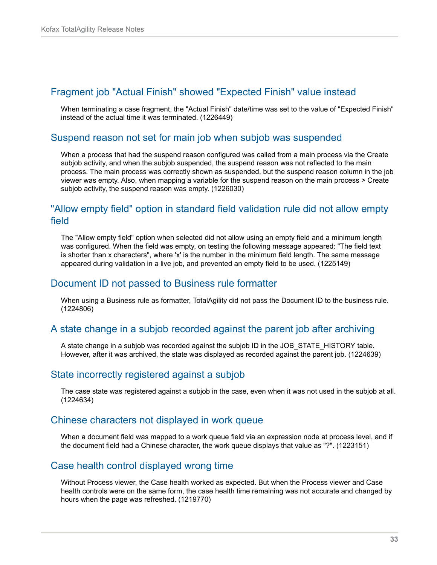### <span id="page-32-0"></span>Fragment job "Actual Finish" showed "Expected Finish" value instead

When terminating a case fragment, the "Actual Finish" date/time was set to the value of "Expected Finish" instead of the actual time it was terminated. (1226449)

### <span id="page-32-1"></span>Suspend reason not set for main job when subjob was suspended

When a process that had the suspend reason configured was called from a main process via the Create subjob activity, and when the subjob suspended, the suspend reason was not reflected to the main process. The main process was correctly shown as suspended, but the suspend reason column in the job viewer was empty. Also, when mapping a variable for the suspend reason on the main process > Create subjob activity, the suspend reason was empty. (1226030)

## <span id="page-32-2"></span>"Allow empty field" option in standard field validation rule did not allow empty field

The "Allow empty field" option when selected did not allow using an empty field and a minimum length was configured. When the field was empty, on testing the following message appeared: "The field text is shorter than x characters", where 'x' is the number in the minimum field length. The same message appeared during validation in a live job, and prevented an empty field to be used. (1225149)

#### <span id="page-32-3"></span>Document ID not passed to Business rule formatter

When using a Business rule as formatter, TotalAgility did not pass the Document ID to the business rule. (1224806)

# <span id="page-32-4"></span>A state change in a subjob recorded against the parent job after archiving

A state change in a subjob was recorded against the subjob ID in the JOB\_STATE\_HISTORY table. However, after it was archived, the state was displayed as recorded against the parent job. (1224639)

# <span id="page-32-5"></span>State incorrectly registered against a subjob

The case state was registered against a subjob in the case, even when it was not used in the subjob at all. (1224634)

### <span id="page-32-6"></span>Chinese characters not displayed in work queue

When a document field was mapped to a work queue field via an expression node at process level, and if the document field had a Chinese character, the work queue displays that value as "?". (1223151)

#### <span id="page-32-7"></span>Case health control displayed wrong time

Without Process viewer, the Case health worked as expected. But when the Process viewer and Case health controls were on the same form, the case health time remaining was not accurate and changed by hours when the page was refreshed. (1219770)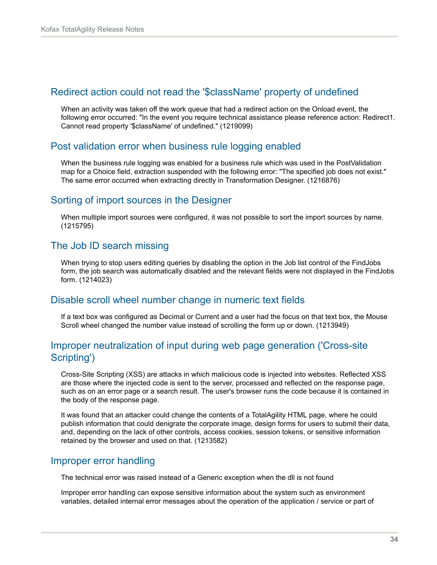#### <span id="page-33-0"></span>Redirect action could not read the '\$className' property of undefined

When an activity was taken off the work queue that had a redirect action on the Onload event, the following error occurred: "In the event you require technical assistance please reference action: Redirect1. Cannot read property '\$className' of undefined." (1219099)

### <span id="page-33-1"></span>Post validation error when business rule logging enabled

When the business rule logging was enabled for a business rule which was used in the PostValidation map for a Choice field, extraction suspended with the following error: "The specified job does not exist." The same error occurred when extracting directly in Transformation Designer. (1216876)

# <span id="page-33-2"></span>Sorting of import sources in the Designer

When multiple import sources were configured, it was not possible to sort the import sources by name. (1215795)

# <span id="page-33-3"></span>The Job ID search missing

When trying to stop users editing queries by disabling the option in the Job list control of the FindJobs form, the job search was automatically disabled and the relevant fields were not displayed in the FindJobs form. (1214023)

# <span id="page-33-4"></span>Disable scroll wheel number change in numeric text fields

If a text box was configured as Decimal or Current and a user had the focus on that text box, the Mouse Scroll wheel changed the number value instead of scrolling the form up or down. (1213949)

### <span id="page-33-5"></span>Improper neutralization of input during web page generation ('Cross-site Scripting')

Cross-Site Scripting (XSS) are attacks in which malicious code is injected into websites. Reflected XSS are those where the injected code is sent to the server, processed and reflected on the response page, such as on an error page or a search result. The user's browser runs the code because it is contained in the body of the response page.

It was found that an attacker could change the contents of a TotalAgility HTML page, where he could publish information that could denigrate the corporate image, design forms for users to submit their data, and, depending on the lack of other controls, access cookies, session tokens, or sensitive information retained by the browser and used on that. (1213582)

#### <span id="page-33-6"></span>Improper error handling

The technical error was raised instead of a Generic exception when the dll is not found

Improper error handling can expose sensitive information about the system such as environment variables, detailed internal error messages about the operation of the application / service or part of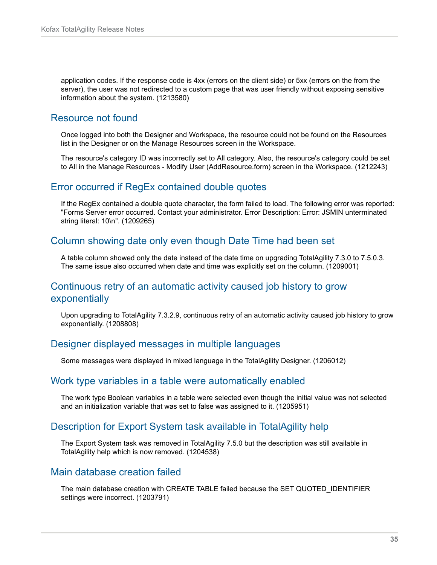application codes. If the response code is 4xx (errors on the client side) or 5xx (errors on the from the server), the user was not redirected to a custom page that was user friendly without exposing sensitive information about the system. (1213580)

# <span id="page-34-0"></span>Resource not found

Once logged into both the Designer and Workspace, the resource could not be found on the Resources list in the Designer or on the Manage Resources screen in the Workspace.

The resource's category ID was incorrectly set to All category. Also, the resource's category could be set to All in the Manage Resources - Modify User (AddResource.form) screen in the Workspace. (1212243)

### <span id="page-34-1"></span>Error occurred if RegEx contained double quotes

If the RegEx contained a double quote character, the form failed to load. The following error was reported: "Forms Server error occurred. Contact your administrator. Error Description: Error: JSMIN unterminated string literal: 10\n". (1209265)

# <span id="page-34-2"></span>Column showing date only even though Date Time had been set

A table column showed only the date instead of the date time on upgrading TotalAgility 7.3.0 to 7.5.0.3. The same issue also occurred when date and time was explicitly set on the column. (1209001)

### <span id="page-34-3"></span>Continuous retry of an automatic activity caused job history to grow exponentially

Upon upgrading to TotalAgility 7.3.2.9, continuous retry of an automatic activity caused job history to grow exponentially. (1208808)

# <span id="page-34-4"></span>Designer displayed messages in multiple languages

Some messages were displayed in mixed language in the TotalAgility Designer. (1206012)

#### <span id="page-34-5"></span>Work type variables in a table were automatically enabled

The work type Boolean variables in a table were selected even though the initial value was not selected and an initialization variable that was set to false was assigned to it. (1205951)

# <span id="page-34-6"></span>Description for Export System task available in TotalAgility help

The Export System task was removed in TotalAgility 7.5.0 but the description was still available in TotalAgility help which is now removed. (1204538)

#### <span id="page-34-7"></span>Main database creation failed

The main database creation with CREATE TABLE failed because the SET QUOTED\_IDENTIFIER settings were incorrect. (1203791)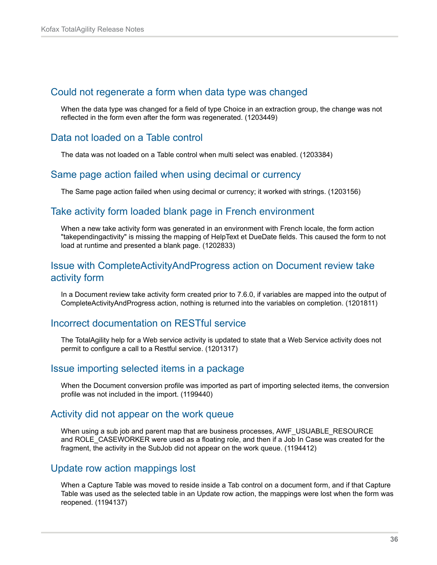#### <span id="page-35-0"></span>Could not regenerate a form when data type was changed

When the data type was changed for a field of type Choice in an extraction group, the change was not reflected in the form even after the form was regenerated. (1203449)

## <span id="page-35-1"></span>Data not loaded on a Table control

The data was not loaded on a Table control when multi select was enabled. (1203384)

#### <span id="page-35-2"></span>Same page action failed when using decimal or currency

The Same page action failed when using decimal or currency; it worked with strings. (1203156)

# <span id="page-35-3"></span>Take activity form loaded blank page in French environment

When a new take activity form was generated in an environment with French locale, the form action "takependingactivity" is missing the mapping of HelpText et DueDate fields. This caused the form to not load at runtime and presented a blank page. (1202833)

# <span id="page-35-4"></span>Issue with CompleteActivityAndProgress action on Document review take activity form

In a Document review take activity form created prior to 7.6.0, if variables are mapped into the output of CompleteActivityAndProgress action, nothing is returned into the variables on completion. (1201811)

# <span id="page-35-5"></span>Incorrect documentation on RESTful service

The TotalAgility help for a Web service activity is updated to state that a Web Service activity does not permit to configure a call to a Restful service. (1201317)

#### <span id="page-35-6"></span>Issue importing selected items in a package

When the Document conversion profile was imported as part of importing selected items, the conversion profile was not included in the import. (1199440)

#### <span id="page-35-7"></span>Activity did not appear on the work queue

When using a sub job and parent map that are business processes, AWF\_USUABLE\_RESOURCE and ROLE\_CASEWORKER were used as a floating role, and then if a Job In Case was created for the fragment, the activity in the SubJob did not appear on the work queue. (1194412)

#### <span id="page-35-8"></span>Update row action mappings lost

When a Capture Table was moved to reside inside a Tab control on a document form, and if that Capture Table was used as the selected table in an Update row action, the mappings were lost when the form was reopened. (1194137)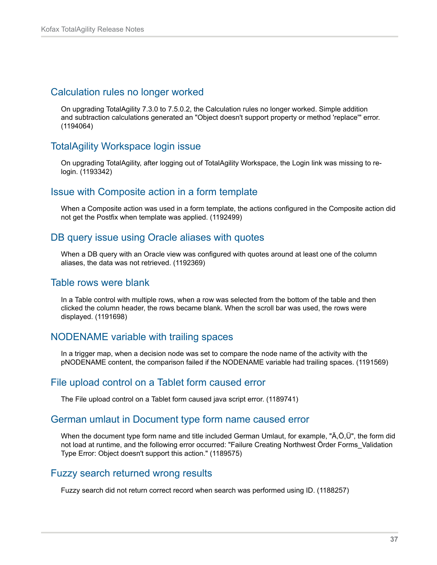#### <span id="page-36-0"></span>Calculation rules no longer worked

On upgrading TotalAgility 7.3.0 to 7.5.0.2, the Calculation rules no longer worked. Simple addition and subtraction calculations generated an "Object doesn't support property or method 'replace'" error. (1194064)

# <span id="page-36-1"></span>TotalAgility Workspace login issue

On upgrading TotalAgility, after logging out of TotalAgility Workspace, the Login link was missing to relogin. (1193342)

# <span id="page-36-2"></span>Issue with Composite action in a form template

When a Composite action was used in a form template, the actions configured in the Composite action did not get the Postfix when template was applied. (1192499)

### <span id="page-36-3"></span>DB query issue using Oracle aliases with quotes

When a DB query with an Oracle view was configured with quotes around at least one of the column aliases, the data was not retrieved. (1192369)

#### <span id="page-36-4"></span>Table rows were blank

In a Table control with multiple rows, when a row was selected from the bottom of the table and then clicked the column header, the rows became blank. When the scroll bar was used, the rows were displayed. (1191698)

# <span id="page-36-5"></span>NODENAME variable with trailing spaces

In a trigger map, when a decision node was set to compare the node name of the activity with the pNODENAME content, the comparison failed if the NODENAME variable had trailing spaces. (1191569)

#### <span id="page-36-6"></span>File upload control on a Tablet form caused error

The File upload control on a Tablet form caused java script error. (1189741)

#### <span id="page-36-7"></span>German umlaut in Document type form name caused error

When the document type form name and title included German Umlaut, for example, "Ä,Ö,Ü", the form did not load at runtime, and the following error occurred: "Failure Creating Northwest Örder Forms\_Validation Type Error: Object doesn't support this action." (1189575)

### <span id="page-36-8"></span>Fuzzy search returned wrong results

Fuzzy search did not return correct record when search was performed using ID. (1188257)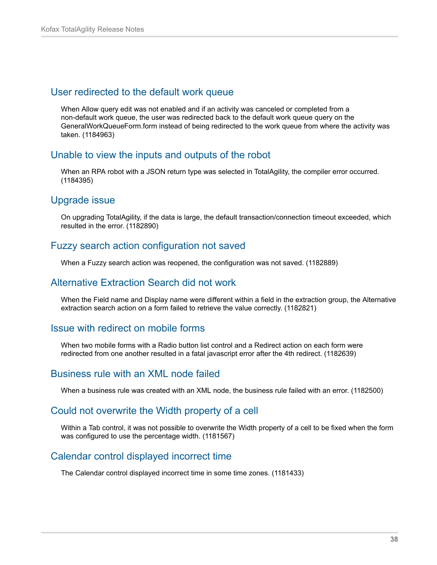#### <span id="page-37-0"></span>User redirected to the default work queue

When Allow query edit was not enabled and if an activity was canceled or completed from a non-default work queue, the user was redirected back to the default work queue query on the GeneralWorkQueueForm.form instead of being redirected to the work queue from where the activity was taken. (1184963)

#### <span id="page-37-1"></span>Unable to view the inputs and outputs of the robot

When an RPA robot with a JSON return type was selected in TotalAgility, the compiler error occurred. (1184395)

### <span id="page-37-2"></span>Upgrade issue

On upgrading TotalAgility, if the data is large, the default transaction/connection timeout exceeded, which resulted in the error. (1182890)

# <span id="page-37-3"></span>Fuzzy search action configuration not saved

When a Fuzzy search action was reopened, the configuration was not saved. (1182889)

#### <span id="page-37-4"></span>Alternative Extraction Search did not work

When the Field name and Display name were different within a field in the extraction group, the Alternative extraction search action on a form failed to retrieve the value correctly. (1182821)

#### <span id="page-37-5"></span>Issue with redirect on mobile forms

When two mobile forms with a Radio button list control and a Redirect action on each form were redirected from one another resulted in a fatal javascript error after the 4th redirect. (1182639)

# <span id="page-37-6"></span>Business rule with an XML node failed

When a business rule was created with an XML node, the business rule failed with an error. (1182500)

#### <span id="page-37-7"></span>Could not overwrite the Width property of a cell

Within a Tab control, it was not possible to overwrite the Width property of a cell to be fixed when the form was configured to use the percentage width. (1181567)

# <span id="page-37-8"></span>Calendar control displayed incorrect time

The Calendar control displayed incorrect time in some time zones. (1181433)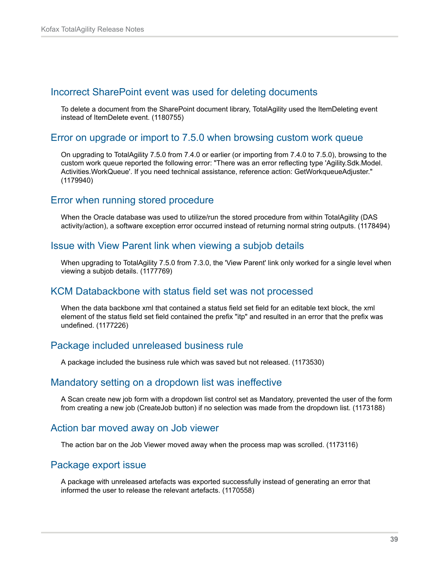#### <span id="page-38-0"></span>Incorrect SharePoint event was used for deleting documents

To delete a document from the SharePoint document library, TotalAgility used the ItemDeleting event instead of ItemDelete event. (1180755)

#### <span id="page-38-1"></span>Error on upgrade or import to 7.5.0 when browsing custom work queue

On upgrading to TotalAgility 7.5.0 from 7.4.0 or earlier (or importing from 7.4.0 to 7.5.0), browsing to the custom work queue reported the following error: "There was an error reflecting type 'Agility.Sdk.Model. Activities.WorkQueue'. If you need technical assistance, reference action: GetWorkqueueAdjuster." (1179940)

# <span id="page-38-2"></span>Error when running stored procedure

When the Oracle database was used to utilize/run the stored procedure from within TotalAgility (DAS activity/action), a software exception error occurred instead of returning normal string outputs. (1178494)

#### <span id="page-38-3"></span>Issue with View Parent link when viewing a subjob details

When upgrading to TotalAgility 7.5.0 from 7.3.0, the 'View Parent' link only worked for a single level when viewing a subjob details. (1177769)

# <span id="page-38-4"></span>KCM Databackbone with status field set was not processed

When the data backbone xml that contained a status field set field for an editable text block, the xml element of the status field set field contained the prefix "itp" and resulted in an error that the prefix was undefined. (1177226)

#### <span id="page-38-5"></span>Package included unreleased business rule

A package included the business rule which was saved but not released. (1173530)

#### <span id="page-38-6"></span>Mandatory setting on a dropdown list was ineffective

A Scan create new job form with a dropdown list control set as Mandatory, prevented the user of the form from creating a new job (CreateJob button) if no selection was made from the dropdown list. (1173188)

#### <span id="page-38-7"></span>Action bar moved away on Job viewer

The action bar on the Job Viewer moved away when the process map was scrolled. (1173116)

#### <span id="page-38-8"></span>Package export issue

A package with unreleased artefacts was exported successfully instead of generating an error that informed the user to release the relevant artefacts. (1170558)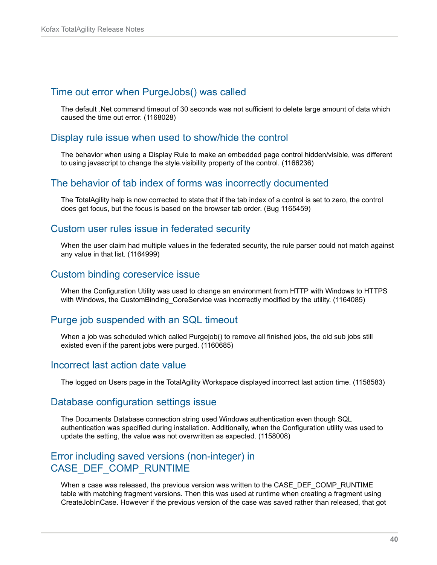#### <span id="page-39-0"></span>Time out error when PurgeJobs() was called

The default .Net command timeout of 30 seconds was not sufficient to delete large amount of data which caused the time out error. (1168028)

#### <span id="page-39-1"></span>Display rule issue when used to show/hide the control

The behavior when using a Display Rule to make an embedded page control hidden/visible, was different to using javascript to change the style.visibility property of the control. (1166236)

#### <span id="page-39-2"></span>The behavior of tab index of forms was incorrectly documented

The TotalAgility help is now corrected to state that if the tab index of a control is set to zero, the control does get focus, but the focus is based on the browser tab order. (Bug 1165459)

#### <span id="page-39-3"></span>Custom user rules issue in federated security

When the user claim had multiple values in the federated security, the rule parser could not match against any value in that list. (1164999)

#### <span id="page-39-4"></span>Custom binding coreservice issue

When the Configuration Utility was used to change an environment from HTTP with Windows to HTTPS with Windows, the CustomBinding\_CoreService was incorrectly modified by the utility. (1164085)

## <span id="page-39-5"></span>Purge job suspended with an SQL timeout

When a job was scheduled which called Purgejob() to remove all finished jobs, the old sub jobs still existed even if the parent jobs were purged. (1160685)

#### <span id="page-39-6"></span>Incorrect last action date value

The logged on Users page in the TotalAgility Workspace displayed incorrect last action time. (1158583)

#### <span id="page-39-7"></span>Database configuration settings issue

The Documents Database connection string used Windows authentication even though SQL authentication was specified during installation. Additionally, when the Configuration utility was used to update the setting, the value was not overwritten as expected. (1158008)

# <span id="page-39-8"></span>Error including saved versions (non-integer) in CASE\_DEF\_COMP\_RUNTIME

When a case was released, the previous version was written to the CASE DEF COMP\_RUNTIME table with matching fragment versions. Then this was used at runtime when creating a fragment using CreateJobInCase. However if the previous version of the case was saved rather than released, that got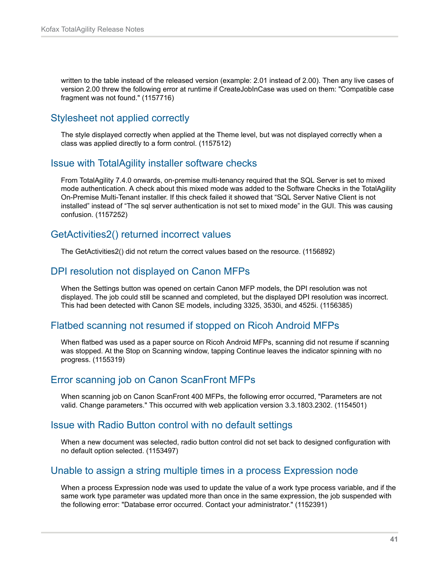written to the table instead of the released version (example: 2.01 instead of 2.00). Then any live cases of version 2.00 threw the following error at runtime if CreateJobInCase was used on them: "Compatible case fragment was not found." (1157716)

# <span id="page-40-0"></span>Stylesheet not applied correctly

The style displayed correctly when applied at the Theme level, but was not displayed correctly when a class was applied directly to a form control. (1157512)

### <span id="page-40-1"></span>Issue with TotalAgility installer software checks

From TotalAgility 7.4.0 onwards, on-premise multi-tenancy required that the SQL Server is set to mixed mode authentication. A check about this mixed mode was added to the Software Checks in the TotalAgility On-Premise Multi-Tenant installer. If this check failed it showed that "SQL Server Native Client is not installed" instead of "The sql server authentication is not set to mixed mode" in the GUI. This was causing confusion. (1157252)

# <span id="page-40-2"></span>GetActivities2() returned incorrect values

The GetActivities2() did not return the correct values based on the resource. (1156892)

# <span id="page-40-3"></span>DPI resolution not displayed on Canon MFPs

When the Settings button was opened on certain Canon MFP models, the DPI resolution was not displayed. The job could still be scanned and completed, but the displayed DPI resolution was incorrect. This had been detected with Canon SE models, including 3325, 3530i, and 4525i. (1156385)

# <span id="page-40-4"></span>Flatbed scanning not resumed if stopped on Ricoh Android MFPs

When flatbed was used as a paper source on Ricoh Android MFPs, scanning did not resume if scanning was stopped. At the Stop on Scanning window, tapping Continue leaves the indicator spinning with no progress. (1155319)

# <span id="page-40-5"></span>Error scanning job on Canon ScanFront MFPs

When scanning job on Canon ScanFront 400 MFPs, the following error occurred, "Parameters are not valid. Change parameters." This occurred with web application version 3.3.1803.2302. (1154501)

#### <span id="page-40-6"></span>Issue with Radio Button control with no default settings

When a new document was selected, radio button control did not set back to designed configuration with no default option selected. (1153497)

#### <span id="page-40-7"></span>Unable to assign a string multiple times in a process Expression node

When a process Expression node was used to update the value of a work type process variable, and if the same work type parameter was updated more than once in the same expression, the job suspended with the following error: "Database error occurred. Contact your administrator." (1152391)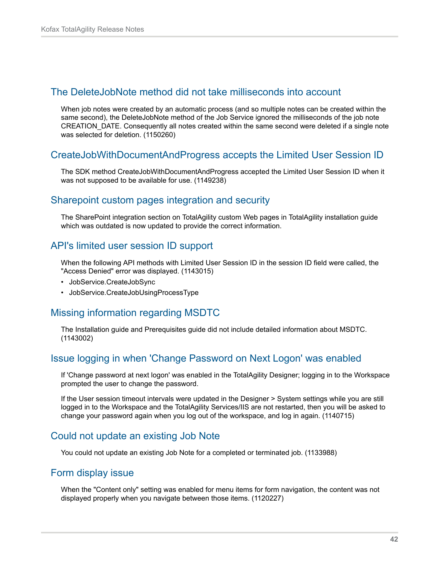#### <span id="page-41-0"></span>The DeleteJobNote method did not take milliseconds into account

When job notes were created by an automatic process (and so multiple notes can be created within the same second), the DeleteJobNote method of the Job Service ignored the milliseconds of the job note CREATION\_DATE. Consequently all notes created within the same second were deleted if a single note was selected for deletion. (1150260)

#### <span id="page-41-1"></span>CreateJobWithDocumentAndProgress accepts the Limited User Session ID

The SDK method CreateJobWithDocumentAndProgress accepted the Limited User Session ID when it was not supposed to be available for use. (1149238)

#### <span id="page-41-2"></span>Sharepoint custom pages integration and security

The SharePoint integration section on TotalAgility custom Web pages in TotalAgility installation guide which was outdated is now updated to provide the correct information.

### <span id="page-41-3"></span>API's limited user session ID support

When the following API methods with Limited User Session ID in the session ID field were called, the "Access Denied" error was displayed. (1143015)

- JobService.CreateJobSync
- JobService.CreateJobUsingProcessType

# <span id="page-41-4"></span>Missing information regarding MSDTC

The Installation guide and Prerequisites guide did not include detailed information about MSDTC. (1143002)

# <span id="page-41-5"></span>Issue logging in when 'Change Password on Next Logon' was enabled

If 'Change password at next logon' was enabled in the TotalAgility Designer; logging in to the Workspace prompted the user to change the password.

If the User session timeout intervals were updated in the Designer > System settings while you are still logged in to the Workspace and the TotalAgility Services/IIS are not restarted, then you will be asked to change your password again when you log out of the workspace, and log in again. (1140715)

#### <span id="page-41-6"></span>Could not update an existing Job Note

You could not update an existing Job Note for a completed or terminated job. (1133988)

### <span id="page-41-7"></span>Form display issue

When the "Content only" setting was enabled for menu items for form navigation, the content was not displayed properly when you navigate between those items. (1120227)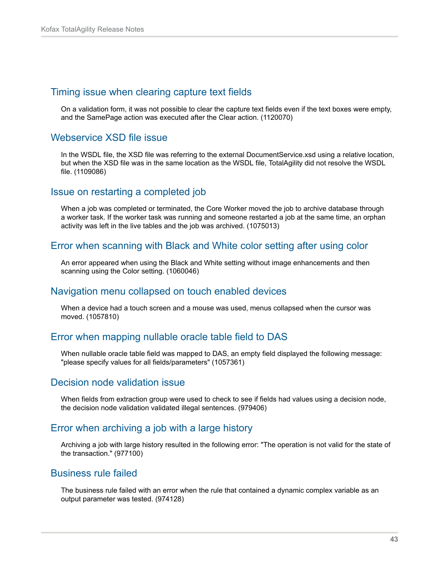#### <span id="page-42-0"></span>Timing issue when clearing capture text fields

On a validation form, it was not possible to clear the capture text fields even if the text boxes were empty, and the SamePage action was executed after the Clear action. (1120070)

# <span id="page-42-1"></span>Webservice XSD file issue

In the WSDL file, the XSD file was referring to the external DocumentService.xsd using a relative location, but when the XSD file was in the same location as the WSDL file, TotalAgility did not resolve the WSDL file. (1109086)

### <span id="page-42-2"></span>Issue on restarting a completed job

When a job was completed or terminated, the Core Worker moved the job to archive database through a worker task. If the worker task was running and someone restarted a job at the same time, an orphan activity was left in the live tables and the job was archived. (1075013)

#### <span id="page-42-3"></span>Error when scanning with Black and White color setting after using color

An error appeared when using the Black and White setting without image enhancements and then scanning using the Color setting. (1060046)

#### <span id="page-42-4"></span>Navigation menu collapsed on touch enabled devices

When a device had a touch screen and a mouse was used, menus collapsed when the cursor was moved. (1057810)

# <span id="page-42-5"></span>Error when mapping nullable oracle table field to DAS

When nullable oracle table field was mapped to DAS, an empty field displayed the following message: "please specify values for all fields/parameters" (1057361)

#### <span id="page-42-6"></span>Decision node validation issue

When fields from extraction group were used to check to see if fields had values using a decision node, the decision node validation validated illegal sentences. (979406)

#### <span id="page-42-7"></span>Error when archiving a job with a large history

Archiving a job with large history resulted in the following error: "The operation is not valid for the state of the transaction." (977100)

#### <span id="page-42-8"></span>Business rule failed

The business rule failed with an error when the rule that contained a dynamic complex variable as an output parameter was tested. (974128)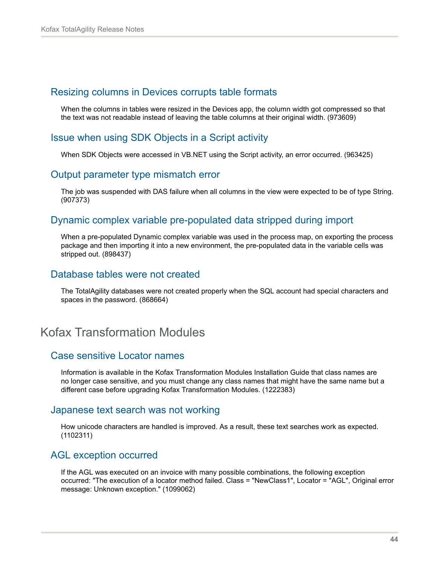#### <span id="page-43-0"></span>Resizing columns in Devices corrupts table formats

When the columns in tables were resized in the Devices app, the column width got compressed so that the text was not readable instead of leaving the table columns at their original width. (973609)

# <span id="page-43-1"></span>Issue when using SDK Objects in a Script activity

When SDK Objects were accessed in VB.NET using the Script activity, an error occurred. (963425)

#### <span id="page-43-2"></span>Output parameter type mismatch error

The job was suspended with DAS failure when all columns in the view were expected to be of type String. (907373)

# <span id="page-43-3"></span>Dynamic complex variable pre-populated data stripped during import

When a pre-populated Dynamic complex variable was used in the process map, on exporting the process package and then importing it into a new environment, the pre-populated data in the variable cells was stripped out. (898437)

### <span id="page-43-4"></span>Database tables were not created

The TotalAgility databases were not created properly when the SQL account had special characters and spaces in the password. (868664)

# <span id="page-43-5"></span>Kofax Transformation Modules

#### <span id="page-43-6"></span>Case sensitive Locator names

Information is available in the Kofax Transformation Modules Installation Guide that class names are no longer case sensitive, and you must change any class names that might have the same name but a different case before upgrading Kofax Transformation Modules. (1222383)

#### <span id="page-43-7"></span>Japanese text search was not working

How unicode characters are handled is improved. As a result, these text searches work as expected. (1102311)

#### <span id="page-43-8"></span>AGL exception occurred

If the AGL was executed on an invoice with many possible combinations, the following exception occurred: "The execution of a locator method failed. Class = "NewClass1", Locator = "AGL", Original error message: Unknown exception." (1099062)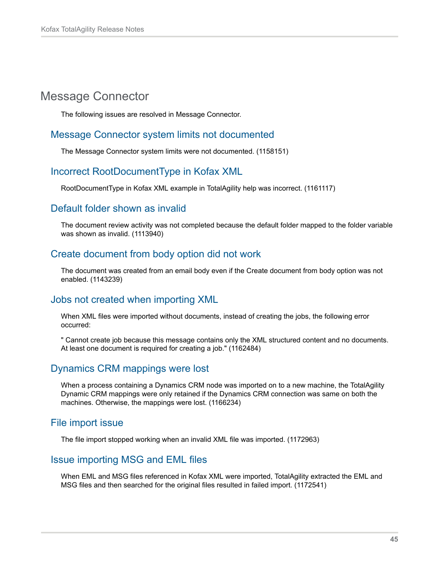# <span id="page-44-0"></span>Message Connector

The following issues are resolved in Message Connector.

### <span id="page-44-1"></span>Message Connector system limits not documented

The Message Connector system limits were not documented. (1158151)

# <span id="page-44-2"></span>Incorrect RootDocumentType in Kofax XML

RootDocumentType in Kofax XML example in TotalAgility help was incorrect. (1161117)

#### <span id="page-44-3"></span>Default folder shown as invalid

The document review activity was not completed because the default folder mapped to the folder variable was shown as invalid. (1113940)

# <span id="page-44-4"></span>Create document from body option did not work

The document was created from an email body even if the Create document from body option was not enabled. (1143239)

#### <span id="page-44-5"></span>Jobs not created when importing XML

When XML files were imported without documents, instead of creating the jobs, the following error occurred:

" Cannot create job because this message contains only the XML structured content and no documents. At least one document is required for creating a job." (1162484)

# <span id="page-44-6"></span>Dynamics CRM mappings were lost

When a process containing a Dynamics CRM node was imported on to a new machine, the TotalAgility Dynamic CRM mappings were only retained if the Dynamics CRM connection was same on both the machines. Otherwise, the mappings were lost. (1166234)

#### <span id="page-44-7"></span>File import issue

The file import stopped working when an invalid XML file was imported. (1172963)

#### <span id="page-44-8"></span>Issue importing MSG and EML files

When EML and MSG files referenced in Kofax XML were imported, TotalAgility extracted the EML and MSG files and then searched for the original files resulted in failed import. (1172541)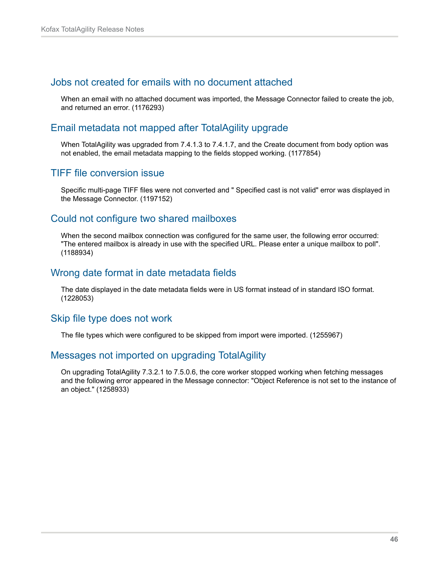### <span id="page-45-0"></span>Jobs not created for emails with no document attached

When an email with no attached document was imported, the Message Connector failed to create the job, and returned an error. (1176293)

#### <span id="page-45-1"></span>Email metadata not mapped after TotalAgility upgrade

When TotalAgility was upgraded from 7.4.1.3 to 7.4.1.7, and the Create document from body option was not enabled, the email metadata mapping to the fields stopped working. (1177854)

### <span id="page-45-2"></span>TIFF file conversion issue

Specific multi-page TIFF files were not converted and " Specified cast is not valid" error was displayed in the Message Connector. (1197152)

# <span id="page-45-3"></span>Could not configure two shared mailboxes

When the second mailbox connection was configured for the same user, the following error occurred: "The entered mailbox is already in use with the specified URL. Please enter a unique mailbox to poll". (1188934)

#### <span id="page-45-4"></span>Wrong date format in date metadata fields

The date displayed in the date metadata fields were in US format instead of in standard ISO format. (1228053)

#### <span id="page-45-5"></span>Skip file type does not work

The file types which were configured to be skipped from import were imported. (1255967)

#### <span id="page-45-6"></span>Messages not imported on upgrading TotalAgility

On upgrading TotalAgility 7.3.2.1 to 7.5.0.6, the core worker stopped working when fetching messages and the following error appeared in the Message connector: "Object Reference is not set to the instance of an object." (1258933)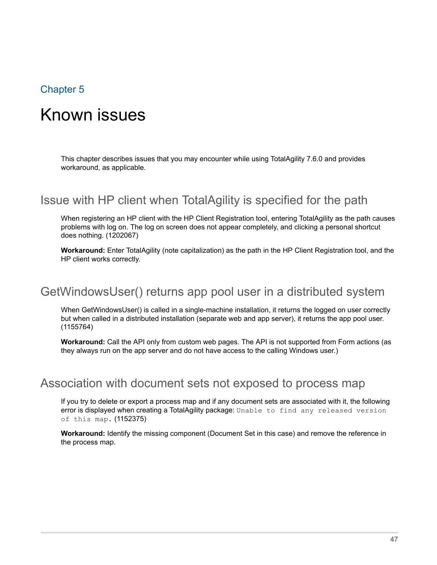# <span id="page-46-0"></span>Chapter 5

# Known issues

This chapter describes issues that you may encounter while using TotalAgility 7.6.0 and provides workaround, as applicable.

# <span id="page-46-1"></span>Issue with HP client when TotalAgility is specified for the path

When registering an HP client with the HP Client Registration tool, entering TotalAgility as the path causes problems with log on. The log on screen does not appear completely, and clicking a personal shortcut does nothing. (1202067)

**Workaround:** Enter TotalAgility (note capitalization) as the path in the HP Client Registration tool, and the HP client works correctly.

# <span id="page-46-2"></span>GetWindowsUser() returns app pool user in a distributed system

When GetWindowsUser() is called in a single-machine installation, it returns the logged on user correctly but when called in a distributed installation (separate web and app server), it returns the app pool user. (1155764)

**Workaround:** Call the API only from custom web pages. The API is not supported from Form actions (as they always run on the app server and do not have access to the calling Windows user.)

# <span id="page-46-3"></span>Association with document sets not exposed to process map

If you try to delete or export a process map and if any document sets are associated with it, the following error is displayed when creating a TotalAgility package: Unable to find any released version of this map. (1152375)

**Workaround:** Identify the missing component (Document Set in this case) and remove the reference in the process map.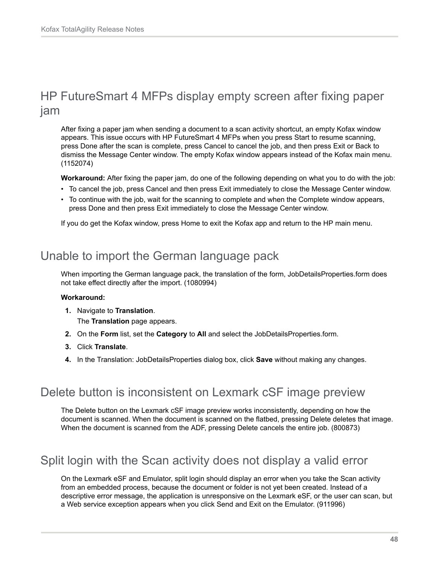# <span id="page-47-0"></span>HP FutureSmart 4 MFPs display empty screen after fixing paper jam

After fixing a paper jam when sending a document to a scan activity shortcut, an empty Kofax window appears. This issue occurs with HP FutureSmart 4 MFPs when you press Start to resume scanning, press Done after the scan is complete, press Cancel to cancel the job, and then press Exit or Back to dismiss the Message Center window. The empty Kofax window appears instead of the Kofax main menu. (1152074)

**Workaround:** After fixing the paper jam, do one of the following depending on what you to do with the job:

- To cancel the job, press Cancel and then press Exit immediately to close the Message Center window.
- To continue with the job, wait for the scanning to complete and when the Complete window appears, press Done and then press Exit immediately to close the Message Center window.

If you do get the Kofax window, press Home to exit the Kofax app and return to the HP main menu.

# <span id="page-47-1"></span>Unable to import the German language pack

When importing the German language pack, the translation of the form, JobDetailsProperties.form does not take effect directly after the import. (1080994)

#### **Workaround:**

**1.** Navigate to **Translation**.

The **Translation** page appears.

- **2.** On the **Form** list, set the **Category** to **All** and select the JobDetailsProperties.form.
- **3.** Click **Translate**.
- **4.** In the Translation: JobDetailsProperties dialog box, click **Save** without making any changes.

# <span id="page-47-2"></span>Delete button is inconsistent on Lexmark cSF image preview

The Delete button on the Lexmark cSF image preview works inconsistently, depending on how the document is scanned. When the document is scanned on the flatbed, pressing Delete deletes that image. When the document is scanned from the ADF, pressing Delete cancels the entire job. (800873)

# <span id="page-47-3"></span>Split login with the Scan activity does not display a valid error

On the Lexmark eSF and Emulator, split login should display an error when you take the Scan activity from an embedded process, because the document or folder is not yet been created. Instead of a descriptive error message, the application is unresponsive on the Lexmark eSF, or the user can scan, but a Web service exception appears when you click Send and Exit on the Emulator. (911996)